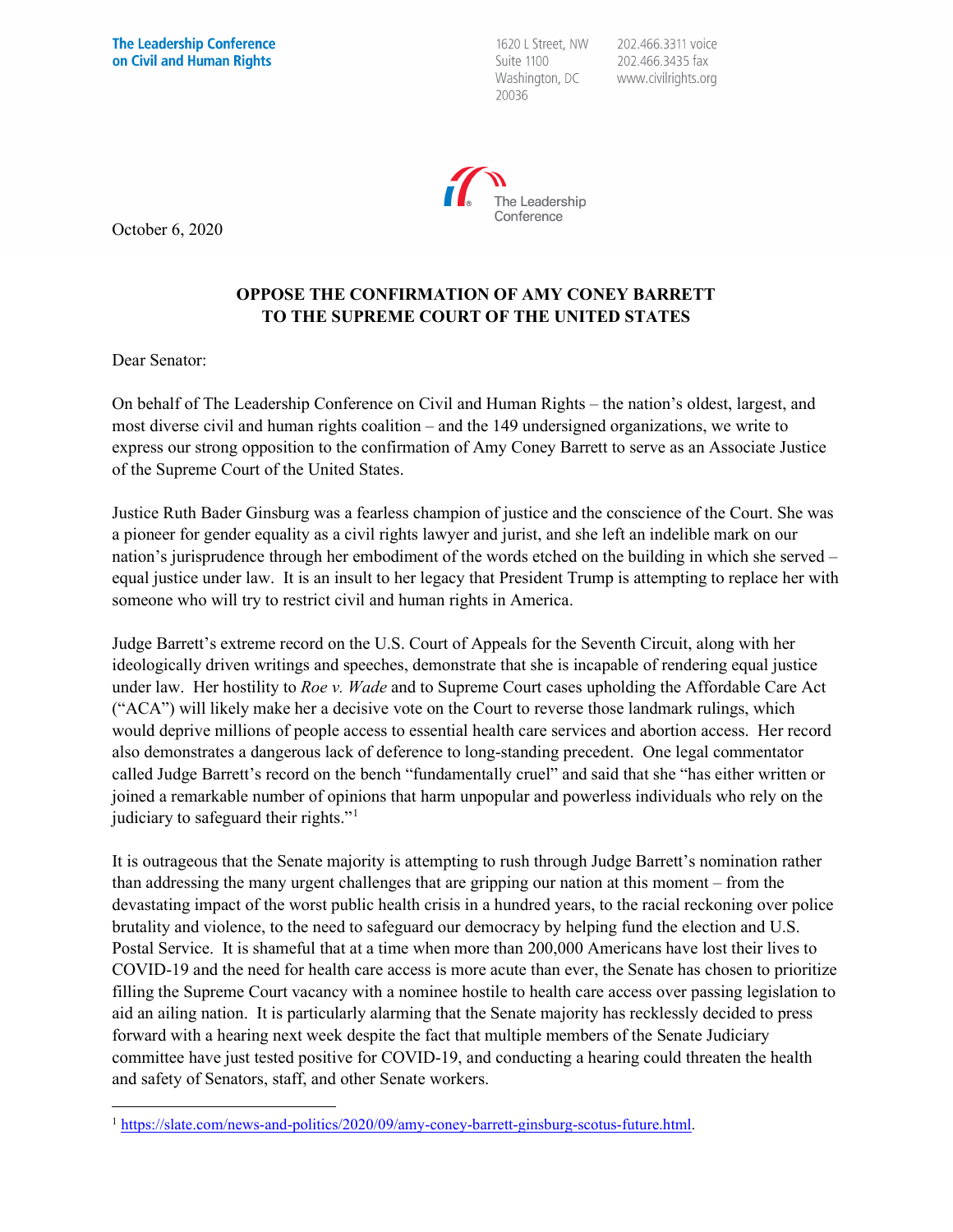1620 L Street, NW Suite 1100 Washington, DC 20036

202.466.3311 voice 202.466.3435 fax www.civilrights.org



October 6, 2020

## **OPPOSE THE CONFIRMATION OF AMY CONEY BARRETT TO THE SUPREME COURT OF THE UNITED STATES**

Dear Senator:

On behalf of The Leadership Conference on Civil and Human Rights – the nation's oldest, largest, and most diverse civil and human rights coalition – and the 149 undersigned organizations, we write to express our strong opposition to the confirmation of Amy Coney Barrett to serve as an Associate Justice of the Supreme Court of the United States.

Justice Ruth Bader Ginsburg was a fearless champion of justice and the conscience of the Court. She was a pioneer for gender equality as a civil rights lawyer and jurist, and she left an indelible mark on our nation's jurisprudence through her embodiment of the words etched on the building in which she served – equal justice under law. It is an insult to her legacy that President Trump is attempting to replace her with someone who will try to restrict civil and human rights in America.

Judge Barrett's extreme record on the U.S. Court of Appeals for the Seventh Circuit, along with her ideologically driven writings and speeches, demonstrate that she is incapable of rendering equal justice under law. Her hostility to *Roe v. Wade* and to Supreme Court cases upholding the Affordable Care Act ("ACA") will likely make her a decisive vote on the Court to reverse those landmark rulings, which would deprive millions of people access to essential health care services and abortion access. Her record also demonstrates a dangerous lack of deference to long-standing precedent. One legal commentator called Judge Barrett's record on the bench "fundamentally cruel" and said that she "has either written or joined a remarkable number of opinions that harm unpopular and powerless individuals who rely on the judiciary to safeguard their rights."[1](#page-0-0)

It is outrageous that the Senate majority is attempting to rush through Judge Barrett's nomination rather than addressing the many urgent challenges that are gripping our nation at this moment – from the devastating impact of the worst public health crisis in a hundred years, to the racial reckoning over police brutality and violence, to the need to safeguard our democracy by helping fund the election and U.S. Postal Service. It is shameful that at a time when more than 200,000 Americans have lost their lives to COVID-19 and the need for health care access is more acute than ever, the Senate has chosen to prioritize filling the Supreme Court vacancy with a nominee hostile to health care access over passing legislation to aid an ailing nation. It is particularly alarming that the Senate majority has recklessly decided to press forward with a hearing next week despite the fact that multiple members of the Senate Judiciary committee have just tested positive for COVID-19, and conducting a hearing could threaten the health and safety of Senators, staff, and other Senate workers.

<span id="page-0-0"></span><sup>&</sup>lt;sup>1</sup> https://slate.com/news-and-politics/2020/09/amy-coney-barrett-ginsburg-scotus-future.html.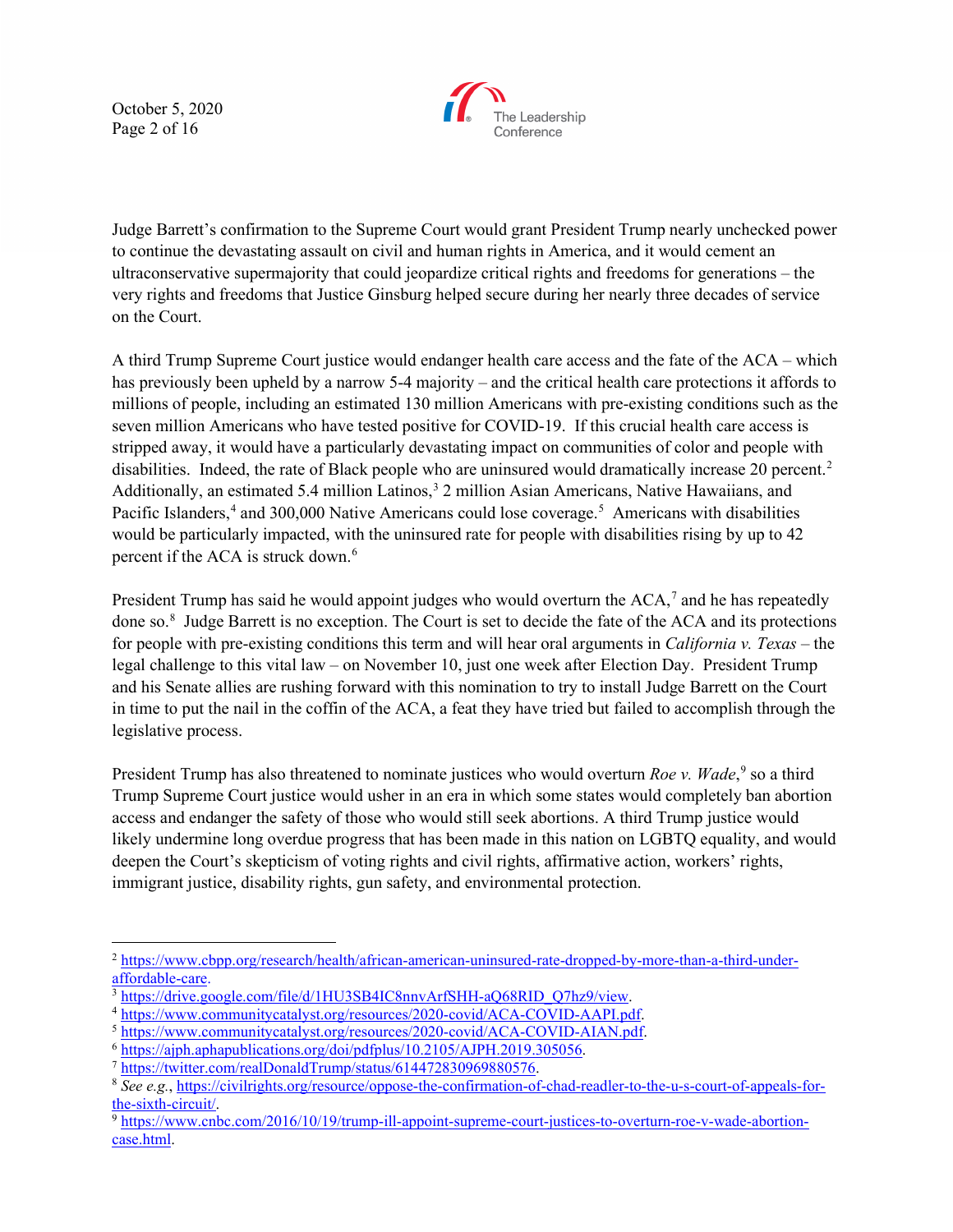October 5, 2020 Page 2 of 16



Judge Barrett's confirmation to the Supreme Court would grant President Trump nearly unchecked power to continue the devastating assault on civil and human rights in America, and it would cement an ultraconservative supermajority that could jeopardize critical rights and freedoms for generations – the very rights and freedoms that Justice Ginsburg helped secure during her nearly three decades of service on the Court.

A third Trump Supreme Court justice would endanger health care access and the fate of the ACA – which has previously been upheld by a narrow 5-4 majority – and the critical health care protections it affords to millions of people, including an estimated 130 million Americans with pre-existing conditions such as the seven million Americans who have tested positive for COVID-19. If this crucial health care access is stripped away, it would have a particularly devastating impact on communities of color and people with disabilities. Indeed, the rate of Black people who are uninsured would dramatically increase 20 percent.<sup>2</sup> Additionally, an estimated 5.4 million Latinos,<sup>3</sup> 2 million Asian Americans, Native Hawaiians, and Pacific Islanders,<sup>[4](#page-1-2)</sup> and 300,000 Native Americans could lose coverage.<sup>[5](#page-1-3)</sup> Americans with disabilities would be particularly impacted, with the uninsured rate for people with disabilities rising by up to 42 percent if the ACA is struck down.<sup>[6](#page-1-4)</sup>

President Trump has said he would appoint judges who would overturn the ACA,<sup>[7](#page-1-5)</sup> and he has repeatedly done so.[8](#page-1-6) Judge Barrett is no exception. The Court is set to decide the fate of the ACA and its protections for people with pre-existing conditions this term and will hear oral arguments in *California v. Texas* – the legal challenge to this vital law – on November 10, just one week after Election Day. President Trump and his Senate allies are rushing forward with this nomination to try to install Judge Barrett on the Court in time to put the nail in the coffin of the ACA, a feat they have tried but failed to accomplish through the legislative process.

President Trump has also threatened to nominate justices who would overturn *Roe v. Wade*,<sup>[9](#page-1-7)</sup> so a third Trump Supreme Court justice would usher in an era in which some states would completely ban abortion access and endanger the safety of those who would still seek abortions. A third Trump justice would likely undermine long overdue progress that has been made in this nation on LGBTQ equality, and would deepen the Court's skepticism of voting rights and civil rights, affirmative action, workers' rights, immigrant justice, disability rights, gun safety, and environmental protection.

<span id="page-1-0"></span><sup>2</sup> [https://www.cbpp.org/research/health/african-american-uninsured-rate-dropped-by-more-than-a-third-under](https://www.cbpp.org/research/health/african-american-uninsured-rate-dropped-by-more-than-a-third-under-affordable-care)[affordable-care.](https://www.cbpp.org/research/health/african-american-uninsured-rate-dropped-by-more-than-a-third-under-affordable-care)

<span id="page-1-1"></span><sup>&</sup>lt;sup>3</sup> [https://drive.google.com/file/d/1HU3SB4IC8nnvArfSHH-aQ68RID\\_Q7hz9/view.](https://drive.google.com/file/d/1HU3SB4IC8nnvArfSHH-aQ68RID_Q7hz9/view)<br><sup>4</sup> https://www.communitycatalyst.org/resources/2020-covid/ACA-COVID-AAPI.pdf.

<span id="page-1-2"></span>

<span id="page-1-4"></span>

<span id="page-1-6"></span><span id="page-1-5"></span>

<span id="page-1-3"></span><sup>4</sup> [https://www.communitycatalyst.org/resources/2020-covid/ACA-COVID-AAPI.pdf.](https://www.communitycatalyst.org/resources/2020-covid/ACA-COVID-AAPI.pdf) 5 [https://www.communitycatalyst.org/resources/2020-covid/ACA-COVID-AIAN.pdf.](https://www.communitycatalyst.org/resources/2020-covid/ACA-COVID-AIAN.pdf) 6 [https://ajph.aphapublications.org/doi/pdfplus/10.2105/AJPH.2019.305056.](https://ajph.aphapublications.org/doi/pdfplus/10.2105/AJPH.2019.305056) 7 [https://twitter.com/realDonaldTrump/status/614472830969880576.](https://twitter.com/realDonaldTrump/status/614472830969880576) 8 *See e.g.*[, https://civilrights.org/resource/oppose-the-confirmation-of-chad-readler-to-the-u-s-court-of-appeals-for-](https://civilrights.org/resource/oppose-the-confirmation-of-chad-readler-to-the-u-s-court-of-appeals-for-the-sixth-circuit/)

<span id="page-1-7"></span><sup>&</sup>lt;sup>9</sup> [https://www.cnbc.com/2016/10/19/trump-ill-appoint-supreme-court-justices-to-overturn-roe-v-wade-abortion](https://www.cnbc.com/2016/10/19/trump-ill-appoint-supreme-court-justices-to-overturn-roe-v-wade-abortion-case.html)[case.html.](https://www.cnbc.com/2016/10/19/trump-ill-appoint-supreme-court-justices-to-overturn-roe-v-wade-abortion-case.html)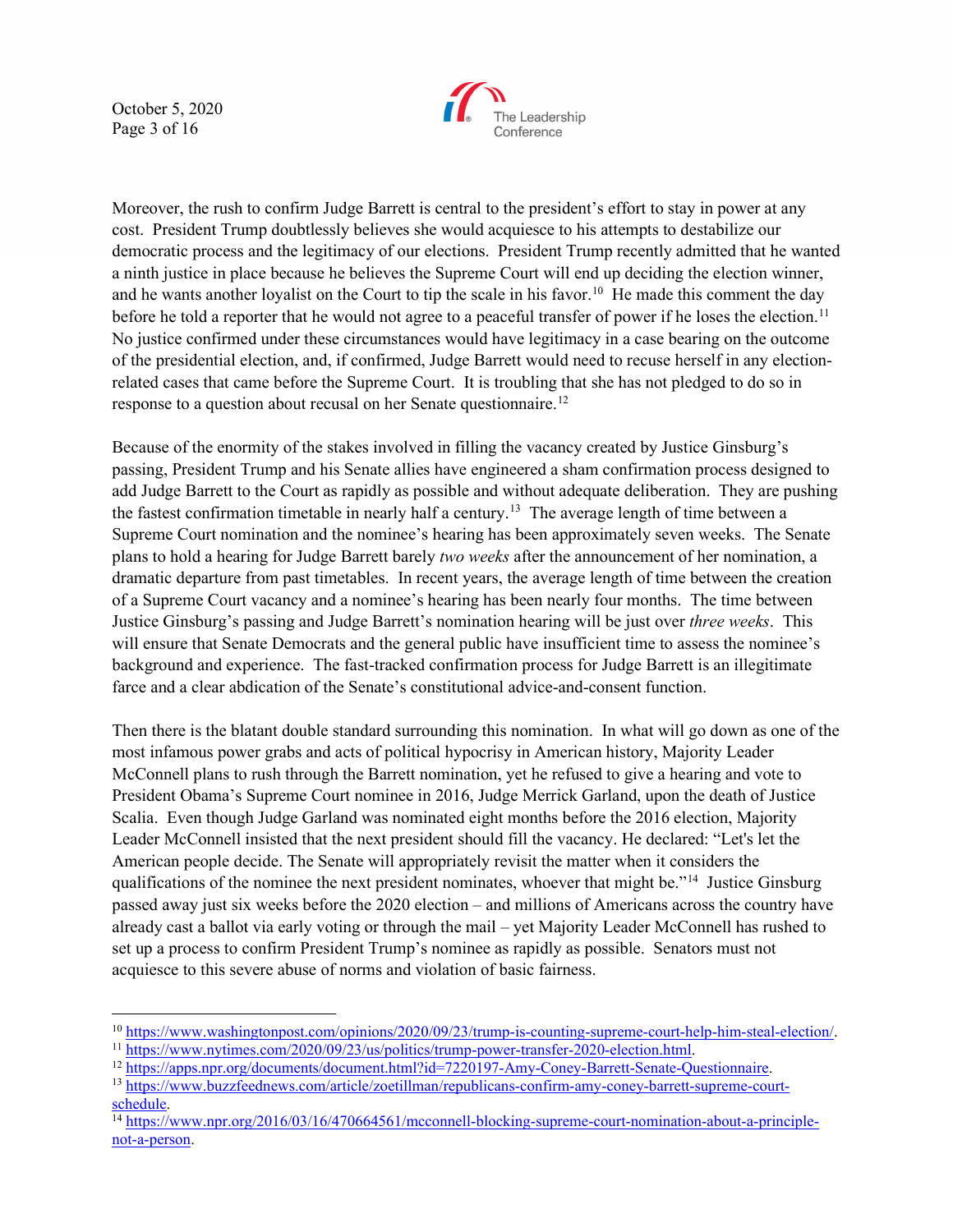October 5, 2020 Page 3 of 16



Moreover, the rush to confirm Judge Barrett is central to the president's effort to stay in power at any cost. President Trump doubtlessly believes she would acquiesce to his attempts to destabilize our democratic process and the legitimacy of our elections. President Trump recently admitted that he wanted a ninth justice in place because he believes the Supreme Court will end up deciding the election winner, and he wants another loyalist on the Court to tip the scale in his favor.<sup>10</sup> He made this comment the day before he told a reporter that he would not agree to a peaceful transfer of power if he loses the election.<sup>[11](#page-2-1)</sup> No justice confirmed under these circumstances would have legitimacy in a case bearing on the outcome of the presidential election, and, if confirmed, Judge Barrett would need to recuse herself in any electionrelated cases that came before the Supreme Court. It is troubling that she has not pledged to do so in response to a question about recusal on her Senate questionnaire[.12](#page-2-2)

Because of the enormity of the stakes involved in filling the vacancy created by Justice Ginsburg's passing, President Trump and his Senate allies have engineered a sham confirmation process designed to add Judge Barrett to the Court as rapidly as possible and without adequate deliberation. They are pushing the fastest confirmation timetable in nearly half a century.<sup>13</sup> The average length of time between a Supreme Court nomination and the nominee's hearing has been approximately seven weeks. The Senate plans to hold a hearing for Judge Barrett barely *two weeks* after the announcement of her nomination, a dramatic departure from past timetables. In recent years, the average length of time between the creation of a Supreme Court vacancy and a nominee's hearing has been nearly four months. The time between Justice Ginsburg's passing and Judge Barrett's nomination hearing will be just over *three weeks*. This will ensure that Senate Democrats and the general public have insufficient time to assess the nominee's background and experience. The fast-tracked confirmation process for Judge Barrett is an illegitimate farce and a clear abdication of the Senate's constitutional advice-and-consent function.

Then there is the blatant double standard surrounding this nomination. In what will go down as one of the most infamous power grabs and acts of political hypocrisy in American history, Majority Leader McConnell plans to rush through the Barrett nomination, yet he refused to give a hearing and vote to President Obama's Supreme Court nominee in 2016, Judge Merrick Garland, upon the death of Justice Scalia. Even though Judge Garland was nominated eight months before the 2016 election, Majority Leader McConnell insisted that the next president should fill the vacancy. He declared: "Let's let the American people decide. The Senate will appropriately revisit the matter when it considers the qualifications of the nominee the next president nominates, whoever that might be."<sup>14</sup> Justice Ginsburg passed away just six weeks before the 2020 election – and millions of Americans across the country have already cast a ballot via early voting or through the mail – yet Majority Leader McConnell has rushed to set up a process to confirm President Trump's nominee as rapidly as possible. Senators must not acquiesce to this severe abuse of norms and violation of basic fairness.

 $10 <https://www.washingtonpost.com/opinions/2020/09/23/trump-is-counting-supreme-count-help-him-steal-election/>  
\n $^{11}$   
\n<https://www.nytimes.com/2020/09/23/us/politics/trump-power-transfer-2020-election.html>  
\n $^{12}$   
\n<a href="https://www.nytimes.com/2</math>$ 

<span id="page-2-0"></span>

<span id="page-2-1"></span>

<span id="page-2-3"></span><span id="page-2-2"></span>

<span id="page-2-4"></span><sup>&</sup>lt;sup>14</sup> [https://www.npr.org/2016/03/16/470664561/mcconnell-blocking-supreme-court-nomination-about-a-principle](https://www.npr.org/2016/03/16/470664561/mcconnell-blocking-supreme-court-nomination-about-a-principle-not-a-person)[not-a-person.](https://www.npr.org/2016/03/16/470664561/mcconnell-blocking-supreme-court-nomination-about-a-principle-not-a-person)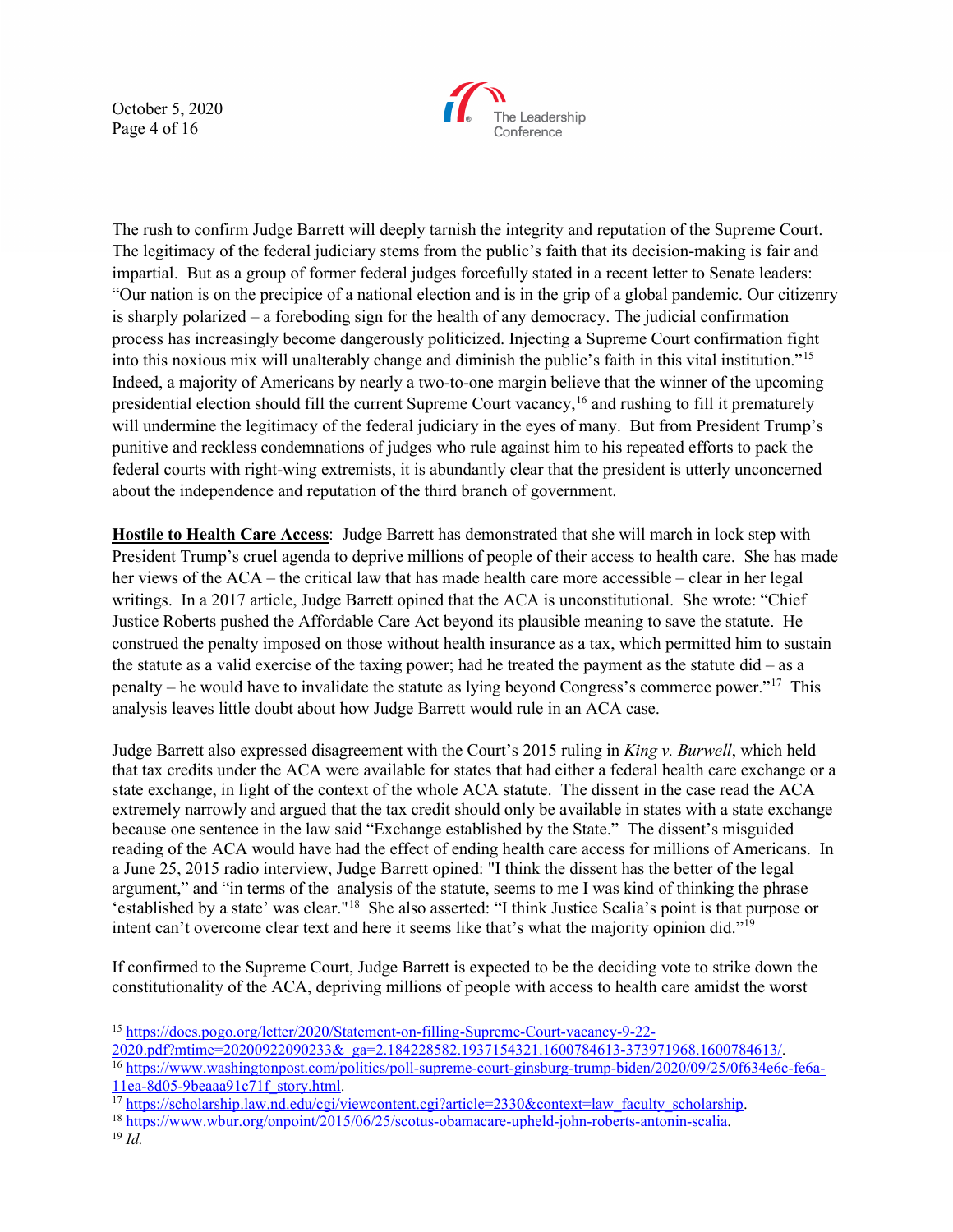October 5, 2020 Page 4 of 16



The rush to confirm Judge Barrett will deeply tarnish the integrity and reputation of the Supreme Court. The legitimacy of the federal judiciary stems from the public's faith that its decision-making is fair and impartial. But as a group of former federal judges forcefully stated in a recent letter to Senate leaders: "Our nation is on the precipice of a national election and is in the grip of a global pandemic. Our citizenry is sharply polarized – a foreboding sign for the health of any democracy. The judicial confirmation process has increasingly become dangerously politicized. Injecting a Supreme Court confirmation fight into this noxious mix will unalterably change and diminish the public's faith in this vital institution."[15](#page-3-0) Indeed, a majority of Americans by nearly a two-to-one margin believe that the winner of the upcoming presidential election should fill the current Supreme Court vacancy,[16](#page-3-1) and rushing to fill it prematurely will undermine the legitimacy of the federal judiciary in the eyes of many. But from President Trump's punitive and reckless condemnations of judges who rule against him to his repeated efforts to pack the federal courts with right-wing extremists, it is abundantly clear that the president is utterly unconcerned about the independence and reputation of the third branch of government.

**Hostile to Health Care Access**: Judge Barrett has demonstrated that she will march in lock step with President Trump's cruel agenda to deprive millions of people of their access to health care. She has made her views of the ACA – the critical law that has made health care more accessible – clear in her legal writings. In a 2017 article, Judge Barrett opined that the ACA is unconstitutional. She wrote: "Chief Justice Roberts pushed the Affordable Care Act beyond its plausible meaning to save the statute. He construed the penalty imposed on those without health insurance as a tax, which permitted him to sustain the statute as a valid exercise of the taxing power; had he treated the payment as the statute  $did - as a$ penalty – he would have to invalidate the statute as lying beyond Congress's commerce power.["17](#page-3-2) This analysis leaves little doubt about how Judge Barrett would rule in an ACA case.

Judge Barrett also expressed disagreement with the Court's 2015 ruling in *King v. Burwell*, which held that tax credits under the ACA were available for states that had either a federal health care exchange or a state exchange, in light of the context of the whole ACA statute. The dissent in the case read the ACA extremely narrowly and argued that the tax credit should only be available in states with a state exchange because one sentence in the law said "Exchange established by the State." The dissent's misguided reading of the ACA would have had the effect of ending health care access for millions of Americans. In a June 25, 2015 radio interview, Judge Barrett opined: "I think the dissent has the better of the legal argument," and "in terms of the analysis of the statute, seems to me I was kind of thinking the phrase 'established by a state' was clear."[18](#page-3-3) She also asserted: "I think Justice Scalia's point is that purpose or intent can't overcome clear text and here it seems like that's what the majority opinion did."[19](#page-3-4)

If confirmed to the Supreme Court, Judge Barrett is expected to be the deciding vote to strike down the constitutionality of the ACA, depriving millions of people with access to health care amidst the worst

<span id="page-3-2"></span> $\frac{17 \text{ https://scholarship.law.nd.edu/cgi/viewcontent.cgi?article}=2330\&\text{context}=law-faculty-scholarship.}$ 

<span id="page-3-0"></span><sup>15</sup> [https://docs.pogo.org/letter/2020/Statement-on-filling-Supreme-Court-vacancy-9-22-](https://docs.pogo.org/letter/2020/Statement-on-filling-Supreme-Court-vacancy-9-22-2020.pdf?mtime=20200922090233&_ga=2.184228582.1937154321.1600784613-373971968.1600784613/)

[<sup>2020.</sup>pdf?mtime=20200922090233&\\_ga=2.184228582.1937154321.1600784613-373971968.1600784613/.](https://docs.pogo.org/letter/2020/Statement-on-filling-Supreme-Court-vacancy-9-22-2020.pdf?mtime=20200922090233&_ga=2.184228582.1937154321.1600784613-373971968.1600784613/)

<span id="page-3-1"></span><sup>&</sup>lt;sup>16</sup> https://www.washingtonpost.com/politics/poll-supreme-court-ginsburg-trump-biden/2020/09/25/0f634e6c-fe6a-<br>11ea-8d05-9beaaa91c71f story.html.

<span id="page-3-4"></span><span id="page-3-3"></span><sup>18</sup> [https://www.wbur.org/onpoint/2015/06/25/scotus-obamacare-upheld-john-roberts-antonin-scalia.](https://www.wbur.org/onpoint/2015/06/25/scotus-obamacare-upheld-john-roberts-antonin-scalia) 19 *Id.*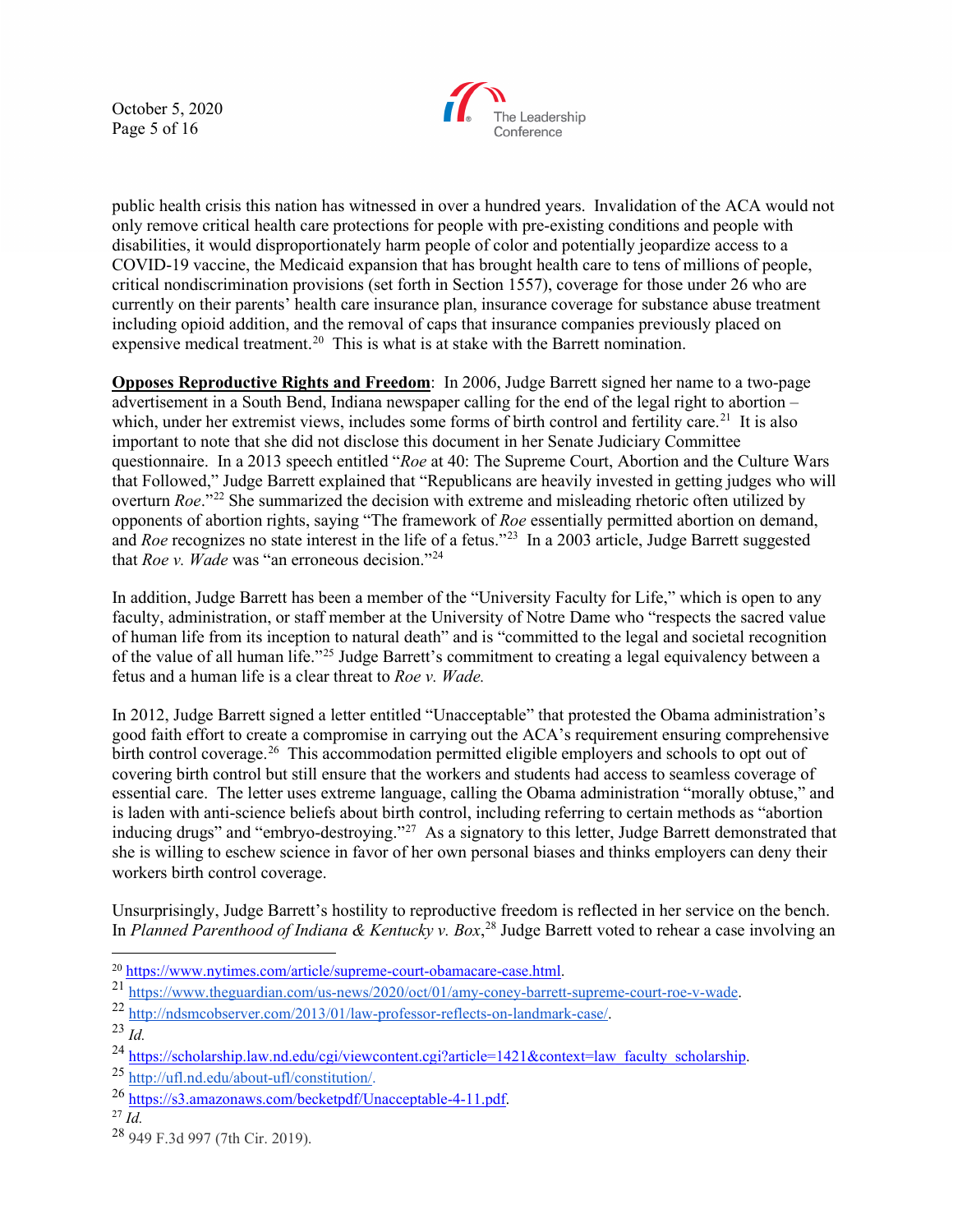October 5, 2020 Page 5 of 16



public health crisis this nation has witnessed in over a hundred years. Invalidation of the ACA would not only remove critical health care protections for people with pre-existing conditions and people with disabilities, it would disproportionately harm people of color and potentially jeopardize access to a COVID-19 vaccine, the Medicaid expansion that has brought health care to tens of millions of people, critical nondiscrimination provisions (set forth in Section 1557), coverage for those under 26 who are currently on their parents' health care insurance plan, insurance coverage for substance abuse treatment including opioid addition, and the removal of caps that insurance companies previously placed on expensive medical treatment.<sup>[20](#page-4-0)</sup> This is what is at stake with the Barrett nomination.

**Opposes Reproductive Rights and Freedom**: In 2006, Judge Barrett signed her name to a two-page advertisement in a South Bend, Indiana newspaper calling for the end of the legal right to abortion – which, under her extremist views, includes some forms of birth control and fertility care.<sup>21</sup> It is also important to note that she did not disclose this document in her Senate Judiciary Committee questionnaire. In a 2013 speech entitled "*Roe* at 40: The Supreme Court, Abortion and the Culture Wars that Followed," Judge Barrett explained that "Republicans are heavily invested in getting judges who will overturn *Roe*."[22](#page-4-2) She summarized the decision with extreme and misleading rhetoric often utilized by opponents of abortion rights, saying "The framework of *Roe* essentially permitted abortion on demand, and *Roe* recognizes no state interest in the life of a fetus."<sup>[23](#page-4-3)</sup> In a 2003 article, Judge Barrett suggested that *Roe v. Wade* was "an erroneous decision."<sup>[24](#page-4-4)</sup>

In addition, Judge Barrett has been a member of the "University Faculty for Life," which is open to any faculty, administration, or staff member at the University of Notre Dame who "respects the sacred value of human life from its inception to natural death" and is "committed to the legal and societal recognition of the value of all human life."[25](#page-4-5) Judge Barrett's commitment to creating a legal equivalency between a fetus and a human life is a clear threat to *Roe v. Wade.*

In 2012, Judge Barrett signed a letter entitled "Unacceptable" that protested the Obama administration's good faith effort to create a compromise in carrying out the ACA's requirement ensuring comprehensive birth control coverage.<sup>[26](#page-4-6)</sup> This accommodation permitted eligible employers and schools to opt out of covering birth control but still ensure that the workers and students had access to seamless coverage of essential care. The letter uses extreme language, calling the Obama administration "morally obtuse," and is laden with anti-science beliefs about birth control, including referring to certain methods as "abortion inducing drugs" and "embryo-destroying."<sup>27</sup> As a signatory to this letter, Judge Barrett demonstrated that she is willing to eschew science in favor of her own personal biases and thinks employers can deny their workers birth control coverage.

Unsurprisingly, Judge Barrett's hostility to reproductive freedom is reflected in her service on the bench. In *Planned Parenthood of Indiana & Kentucky v. Box*, [28](#page-4-8) Judge Barrett voted to rehear a case involving an

<span id="page-4-1"></span><span id="page-4-0"></span> $\frac{\frac{20 \text{ https://www.nytimes.com/article/supreme-court-obamacare-case.html}}{\text{https://www.theguardian.com/us-news/2020/oct/01/amy-coney-barrett-supreme-court-roe-v-wade}}}{21 \text{ https://www.theguardian.com/us-news/2020/oct/01/amy-coney-barrett-supreme-court-roe-v-wade}}$ 

<span id="page-4-3"></span><span id="page-4-2"></span><sup>23</sup> *Id.*

<span id="page-4-4"></span><sup>&</sup>lt;sup>24</sup> [https://scholarship.law.nd.edu/cgi/viewcontent.cgi?article=1421&context=law\\_faculty\\_scholarship.](https://scholarship.law.nd.edu/cgi/viewcontent.cgi?article=1421&context=law_faculty_scholarship) <br><sup>25</sup> [http://ufl.nd.edu/about-ufl/constitution/.](http://ufl.nd.edu/about-ufl/constitution/)

<span id="page-4-6"></span><span id="page-4-5"></span><sup>26</sup> [https://s3.amazonaws.com/becketpdf/Unacceptable-4-11.pdf.](https://s3.amazonaws.com/becketpdf/Unacceptable-4-11.pdf) 27 *Id.*

<span id="page-4-7"></span>

<span id="page-4-8"></span><sup>28</sup> 949 F.3d 997 (7th Cir. 2019).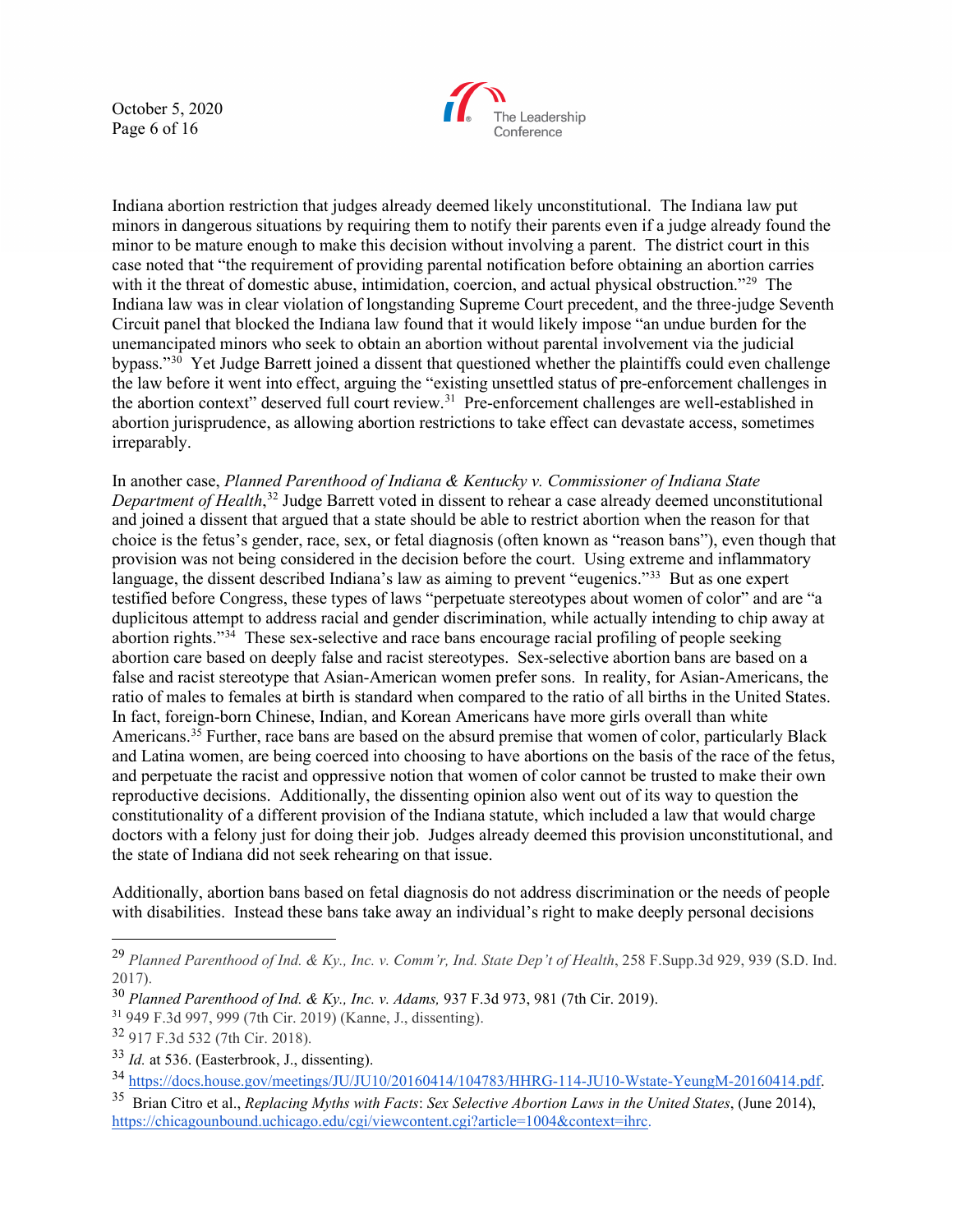October 5, 2020 Page 6 of 16



Indiana abortion restriction that judges already deemed likely unconstitutional. The Indiana law put minors in dangerous situations by requiring them to notify their parents even if a judge already found the minor to be mature enough to make this decision without involving a parent. The district court in this case noted that "the requirement of providing parental notification before obtaining an abortion carries with it the threat of domestic abuse, intimidation, coercion, and actual physical obstruction."<sup>[29](#page-5-0)</sup> The Indiana law was in clear violation of longstanding Supreme Court precedent, and the three-judge Seventh Circuit panel that blocked the Indiana law found that it would likely impose "an undue burden for the unemancipated minors who seek to obtain an abortion without parental involvement via the judicial bypass."<sup>[30](#page-5-1)</sup> Yet Judge Barrett joined a dissent that questioned whether the plaintiffs could even challenge the law before it went into effect, arguing the "existing unsettled status of pre-enforcement challenges in the abortion context" deserved full court review.<sup>31</sup> Pre-enforcement challenges are well-established in abortion jurisprudence, as allowing abortion restrictions to take effect can devastate access, sometimes irreparably.

In another case, *Planned Parenthood of Indiana & Kentucky v. Commissioner of Indiana State Department of Health*, [32](#page-5-3) Judge Barrett voted in dissent to rehear a case already deemed unconstitutional and joined a dissent that argued that a state should be able to restrict abortion when the reason for that choice is the fetus's gender, race, sex, or fetal diagnosis (often known as "reason bans"), even though that provision was not being considered in the decision before the court. Using extreme and inflammatory language, the dissent described Indiana's law as aiming to prevent "eugenics."<sup>33</sup> But as one expert testified before Congress, these types of laws "perpetuate stereotypes about women of color" and are "a duplicitous attempt to address racial and gender discrimination, while actually intending to chip away at abortion rights." $34$  These sex-selective and race bans encourage racial profiling of people seeking abortion care based on deeply false and racist stereotypes. Sex-selective abortion bans are based on a false and racist stereotype that Asian-American women prefer sons. In reality, for Asian-Americans, the ratio of males to females at birth is standard when compared to the ratio of all births in the United States. In fact, foreign-born Chinese, Indian, and Korean Americans have more girls overall than white Americans.<sup>[35](#page-5-6)</sup> Further, race bans are based on the absurd premise that women of color, particularly Black and Latina women, are being coerced into choosing to have abortions on the basis of the race of the fetus, and perpetuate the racist and oppressive notion that women of color cannot be trusted to make their own reproductive decisions. Additionally, the dissenting opinion also went out of its way to question the constitutionality of a different provision of the Indiana statute, which included a law that would charge doctors with a felony just for doing their job. Judges already deemed this provision unconstitutional, and the state of Indiana did not seek rehearing on that issue.

Additionally, abortion bans based on fetal diagnosis do not address discrimination or the needs of people with disabilities. Instead these bans take away an individual's right to make deeply personal decisions

<span id="page-5-0"></span><sup>29</sup> *Planned Parenthood of Ind. & Ky., Inc. v. Comm'r, Ind. State Dep't of Health*, 258 F.Supp.3d 929, 939 (S.D. Ind. 2017).

<span id="page-5-1"></span><sup>30</sup> *Planned Parenthood of Ind. & Ky., Inc. v. Adams,* 937 F.3d 973, 981 (7th Cir. 2019).

<span id="page-5-2"></span><sup>31</sup> 949 F.3d 997, 999 (7th Cir. 2019) (Kanne, J., dissenting).

<span id="page-5-3"></span><sup>32</sup> 917 F.3d 532 (7th Cir. 2018).

<span id="page-5-4"></span><sup>33</sup> *Id.* at 536. (Easterbrook, J., dissenting).

<span id="page-5-5"></span><sup>&</sup>lt;sup>34</sup> [https://docs.house.gov/meetings/JU/JU10/20160414/104783/HHRG-114-JU10-Wstate-YeungM-20160414.pdf.](https://docs.house.gov/meetings/JU/JU10/20160414/104783/HHRG-114-JU10-Wstate-YeungM-20160414.pdf)

<span id="page-5-6"></span><sup>35</sup> Brian Citro et al., *Replacing Myths with Facts*: *Sex Selective Abortion Laws in the United States*, (June 2014)[,](https://chicagounbound.uchicago.edu/cgi/viewcontent.cgi?article=1004&context=ihrc) [https://chicagounbound.uchicago.edu/cgi/viewcontent.cgi?article=1004&context=ihrc.](https://chicagounbound.uchicago.edu/cgi/viewcontent.cgi?article=1004&context=ihrc)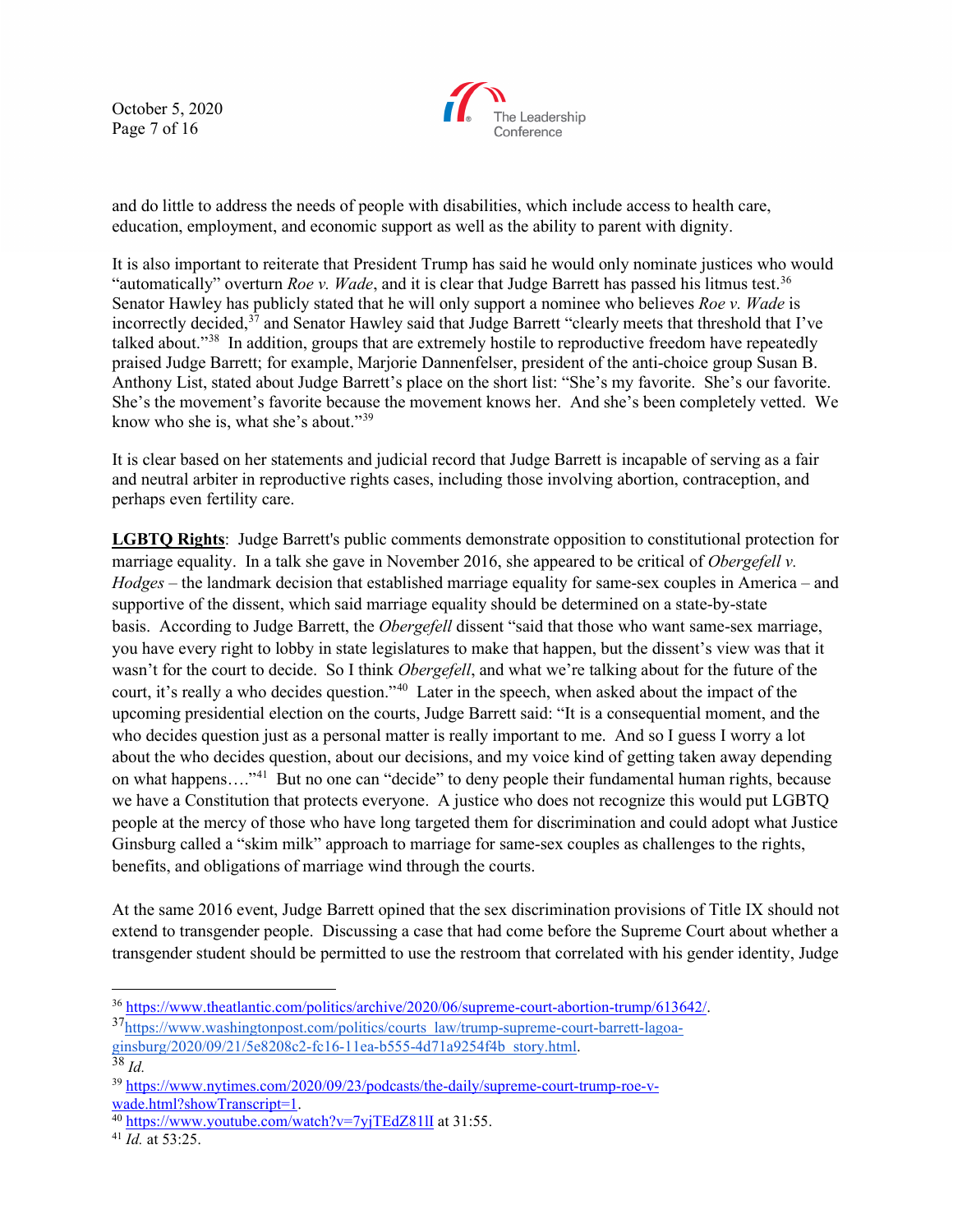October 5, 2020 Page 7 of 16



and do little to address the needs of people with disabilities, which include access to health care, education, employment, and economic support as well as the ability to parent with dignity.

It is also important to reiterate that President Trump has said he would only nominate justices who would "automatically" overturn *Roe v. Wade*, and it is clear that Judge Barrett has passed his litmus test.[36](#page-6-0)  Senator Hawley has publicly stated that he will only support a nominee who believes *Roe v. Wade* is incorrectly decided,<sup>[37](#page-6-1)</sup> and Senator Hawley said that Judge Barrett "clearly meets that threshold that I've talked about."[38](#page-6-2) In addition, groups that are extremely hostile to reproductive freedom have repeatedly praised Judge Barrett; for example, Marjorie Dannenfelser, president of the anti-choice group Susan B. Anthony List, stated about Judge Barrett's place on the short list: "She's my favorite. She's our favorite. She's the movement's favorite because the movement knows her. And she's been completely vetted. We know who she is, what she's about."[39](#page-6-3)

It is clear based on her statements and judicial record that Judge Barrett is incapable of serving as a fair and neutral arbiter in reproductive rights cases, including those involving abortion, contraception, and perhaps even fertility care.

**LGBTQ Rights**: Judge Barrett's public comments demonstrate opposition to constitutional protection for marriage equality. In a talk she gave in November 2016, she appeared to be critical of *Obergefell v. Hodges* – the landmark decision that established marriage equality for same-sex couples in America – and supportive of the dissent, which said marriage equality should be determined on a state-by-state basis. According to Judge Barrett, the *Obergefell* dissent "said that those who want same-sex marriage, you have every right to lobby in state legislatures to make that happen, but the dissent's view was that it wasn't for the court to decide. So I think *Obergefell*, and what we're talking about for the future of the court, it's really a who decides question."[40](#page-6-4) Later in the speech, when asked about the impact of the upcoming presidential election on the courts, Judge Barrett said: "It is a consequential moment, and the who decides question just as a personal matter is really important to me. And so I guess I worry a lot about the who decides question, about our decisions, and my voice kind of getting taken away depending on what happens...."<sup>[41](#page-6-5)</sup> But no one can "decide" to deny people their fundamental human rights, because we have a Constitution that protects everyone. A justice who does not recognize this would put LGBTQ people at the mercy of those who have long targeted them for discrimination and could adopt what Justice Ginsburg called a "skim milk" approach to marriage for same-sex couples as challenges to the rights, benefits, and obligations of marriage wind through the courts.

At the same 2016 event, Judge Barrett opined that the sex discrimination provisions of Title IX should not extend to transgender people. Discussing a case that had come before the Supreme Court about whether a transgender student should be permitted to use the restroom that correlated with his gender identity, Judge

<span id="page-6-0"></span><sup>&</sup>lt;sup>36</sup> https://www.theatlantic.com/politics/archive/2020/06/supreme-court-abortion-trump/613642/.<br><sup>37</sup>https://www.washingtonpost.com/politics/courts\_law/trump-supreme-court-barrett-lagoa-

<span id="page-6-1"></span>[ginsburg/2020/09/21/5e8208c2-fc16-11ea-b555-4d71a9254f4b\\_story.html.](https://www.washingtonpost.com/politics/courts_law/trump-supreme-court-barrett-lagoa-ginsburg/2020/09/21/5e8208c2-fc16-11ea-b555-4d71a9254f4b_story.html)

<span id="page-6-2"></span><sup>38</sup> *Id.*

<span id="page-6-3"></span><sup>&</sup>lt;sup>39</sup> https://www.nytimes.com/2020/09/23/podcasts/the-daily/supreme-court-trump-roe-v-<br>wade.html?showTranscript=1.

<span id="page-6-4"></span> $\frac{1}{40}$  <https://www.youtube.com/watch?v=7yjTEdZ81lI> at 31:55.

<span id="page-6-5"></span><sup>41</sup> *Id.* at 53:25.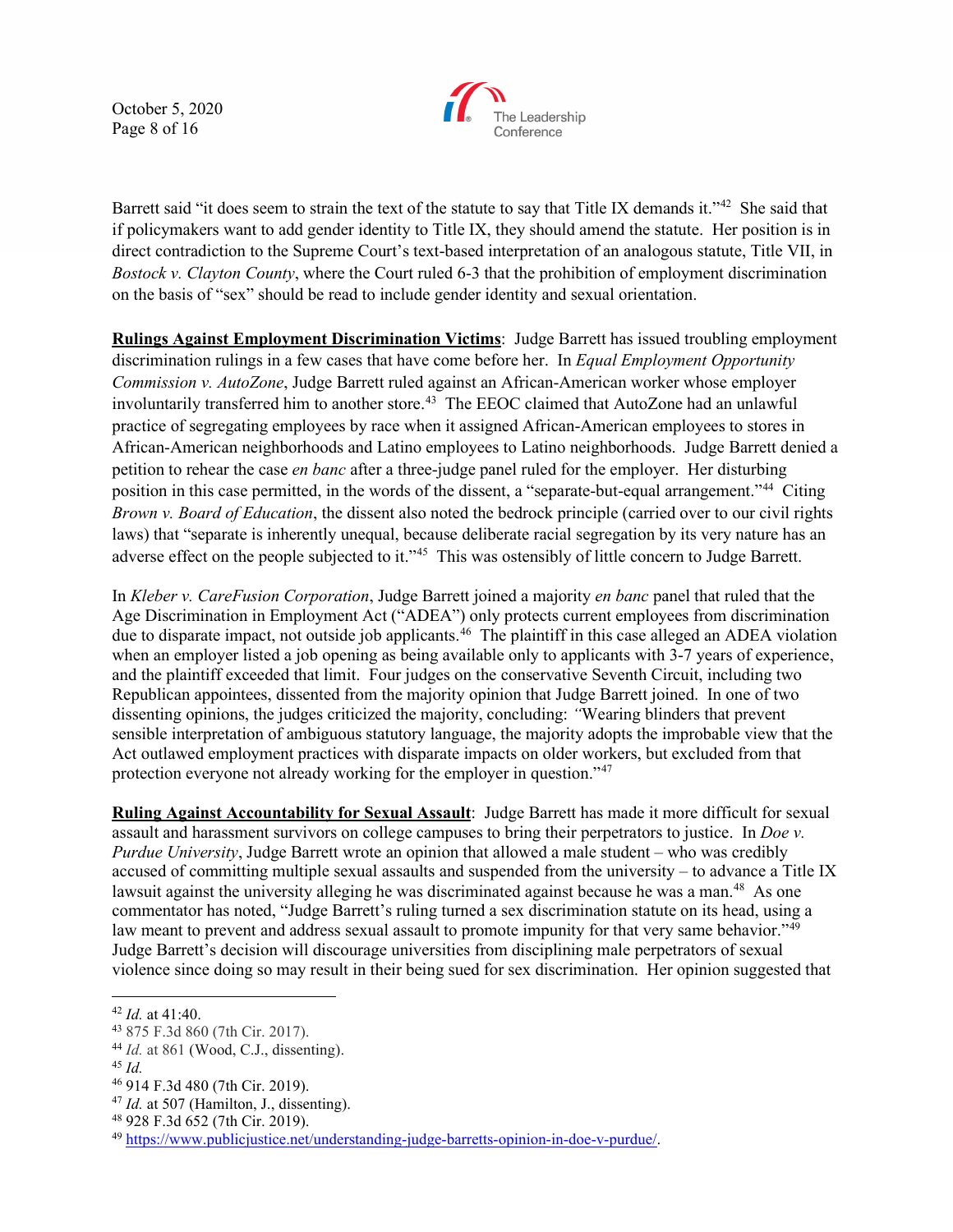October 5, 2020 Page 8 of 16



Barrett said "it does seem to strain the text of the statute to say that Title IX demands it."<sup>[42](#page-7-0)</sup> She said that if policymakers want to add gender identity to Title IX, they should amend the statute. Her position is in direct contradiction to the Supreme Court's text-based interpretation of an analogous statute, Title VII, in *Bostock v. Clayton County*, where the Court ruled 6-3 that the prohibition of employment discrimination on the basis of "sex" should be read to include gender identity and sexual orientation.

**Rulings Against Employment Discrimination Victims**: Judge Barrett has issued troubling employment discrimination rulings in a few cases that have come before her. In *Equal Employment Opportunity Commission v. AutoZone*, Judge Barrett ruled against an African-American worker whose employer involuntarily transferred him to another store.<sup>43</sup> The EEOC claimed that AutoZone had an unlawful practice of segregating employees by race when it assigned African-American employees to stores in African-American neighborhoods and Latino employees to Latino neighborhoods. Judge Barrett denied a petition to rehear the case *en banc* after a three-judge panel ruled for the employer. Her disturbing position in this case permitted, in the words of the dissent, a "separate-but-equal arrangement."[44](#page-7-2) Citing *Brown v. Board of Education*, the dissent also noted the bedrock principle (carried over to our civil rights laws) that "separate is inherently unequal, because deliberate racial segregation by its very nature has an adverse effect on the people subjected to it."[45](#page-7-3) This was ostensibly of little concern to Judge Barrett.

In *Kleber v. CareFusion Corporation*, Judge Barrett joined a majority *en banc* panel that ruled that the Age Discrimination in Employment Act ("ADEA") only protects current employees from discrimination due to disparate impact, not outside job applicants.<sup>46</sup> The plaintiff in this case alleged an ADEA violation when an employer listed a job opening as being available only to applicants with 3-7 years of experience, and the plaintiff exceeded that limit. Four judges on the conservative Seventh Circuit, including two Republican appointees, dissented from the majority opinion that Judge Barrett joined. In one of two dissenting opinions, the judges criticized the majority, concluding: *"*Wearing blinders that prevent sensible interpretation of ambiguous statutory language, the majority adopts the improbable view that the Act outlawed employment practices with disparate impacts on older workers, but excluded from that protection everyone not already working for the employer in question."[47](#page-7-5)

**Ruling Against Accountability for Sexual Assault**: Judge Barrett has made it more difficult for sexual assault and harassment survivors on college campuses to bring their perpetrators to justice. In *Doe v. Purdue University*, Judge Barrett wrote an opinion that allowed a male student – who was credibly accused of committing multiple sexual assaults and suspended from the university – to advance a Title IX lawsuit against the university alleging he was discriminated against because he was a man.<sup>48</sup> As one commentator has noted, "Judge Barrett's ruling turned a sex discrimination statute on its head, using a law meant to prevent and address sexual assault to promote impunity for that very same behavior."<sup>49</sup> Judge Barrett's decision will discourage universities from disciplining male perpetrators of sexual violence since doing so may result in their being sued for sex discrimination. Her opinion suggested that

<span id="page-7-4"></span><sup>46</sup> 914 F.3d 480 (7th Cir. 2019).

<span id="page-7-0"></span><sup>42</sup> *Id.* at 41:40.

<span id="page-7-1"></span><sup>43</sup> 875 F.3d 860 (7th Cir. 2017).

<span id="page-7-2"></span><sup>44</sup> *Id.* at 861 (Wood, C.J., dissenting).

<span id="page-7-3"></span><sup>45</sup> *Id.*

<span id="page-7-5"></span><sup>47</sup> *Id.* at 507 (Hamilton, J., dissenting).

<sup>48</sup> 928 F.3d 652 (7th Cir. 2019).

<span id="page-7-7"></span><span id="page-7-6"></span><sup>49</sup> [https://www.publicjustice.net/understanding-judge-barretts-opinion-in-doe-v-purdue/.](https://www.publicjustice.net/understanding-judge-barretts-opinion-in-doe-v-purdue/)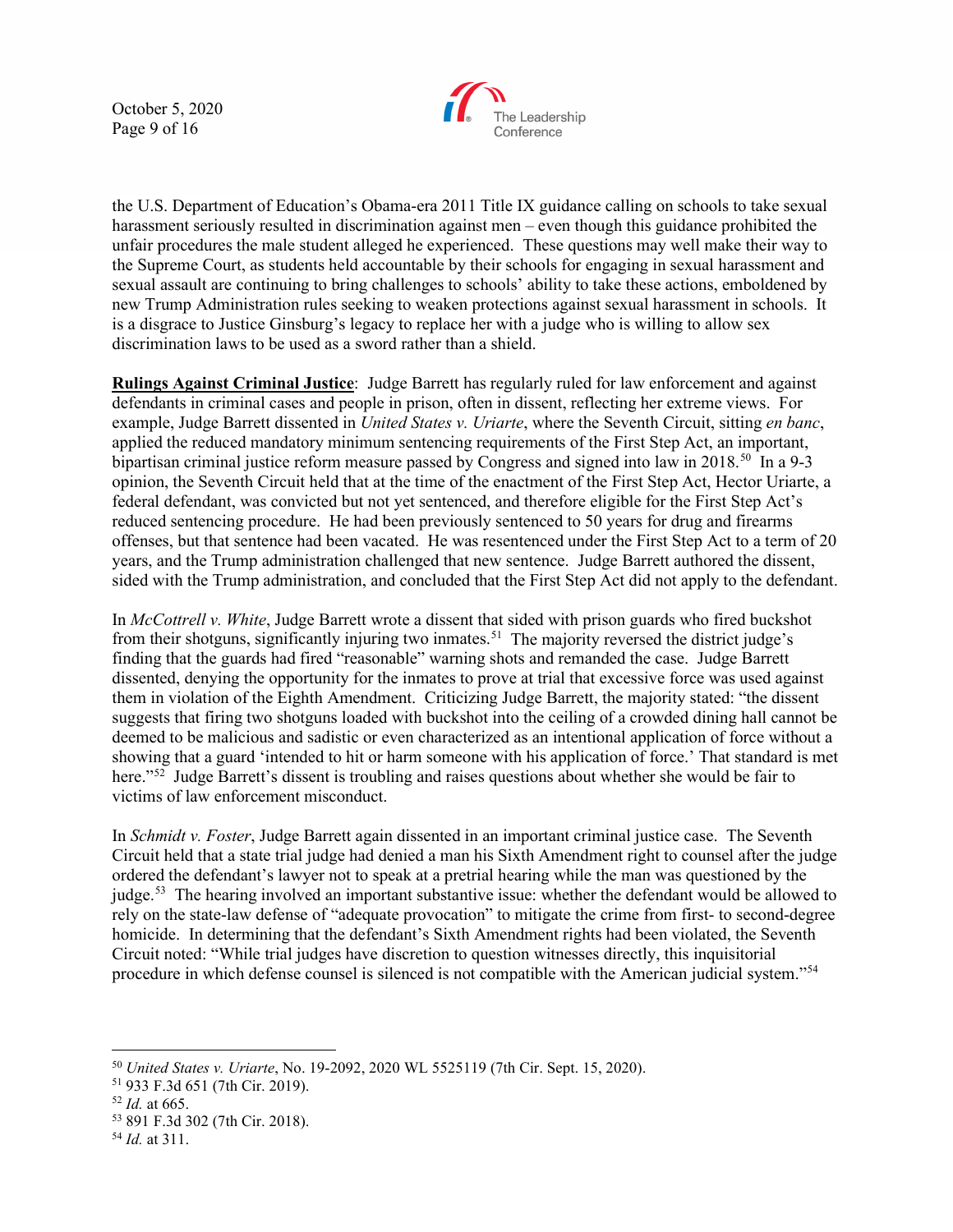October 5, 2020 Page 9 of 16



the U.S. Department of Education's Obama-era 2011 Title IX guidance calling on schools to take sexual harassment seriously resulted in discrimination against men – even though this guidance prohibited the unfair procedures the male student alleged he experienced. These questions may well make their way to the Supreme Court, as students held accountable by their schools for engaging in sexual harassment and sexual assault are continuing to bring challenges to schools' ability to take these actions, emboldened by new Trump Administration rules seeking to weaken protections against sexual harassment in schools. It is a disgrace to Justice Ginsburg's legacy to replace her with a judge who is willing to allow sex discrimination laws to be used as a sword rather than a shield.

**Rulings Against Criminal Justice**: Judge Barrett has regularly ruled for law enforcement and against defendants in criminal cases and people in prison, often in dissent, reflecting her extreme views. For example, Judge Barrett dissented in *United States v. Uriarte*, where the Seventh Circuit, sitting *en banc*, applied the reduced mandatory minimum sentencing requirements of the First Step Act, an important, bipartisan criminal justice reform measure passed by Congress and signed into law in 2018.<sup>50</sup> In a 9-3 opinion, the Seventh Circuit held that at the time of the enactment of the First Step Act, Hector Uriarte, a federal defendant, was convicted but not yet sentenced, and therefore eligible for the First Step Act's reduced sentencing procedure. He had been previously sentenced to 50 years for drug and firearms offenses, but that sentence had been vacated. He was resentenced under the First Step Act to a term of 20 years, and the Trump administration challenged that new sentence. Judge Barrett authored the dissent, sided with the Trump administration, and concluded that the First Step Act did not apply to the defendant.

In *McCottrell v. White*, Judge Barrett wrote a dissent that sided with prison guards who fired buckshot from their shotguns, significantly injuring two inmates.<sup>51</sup> The majority reversed the district judge's finding that the guards had fired "reasonable" warning shots and remanded the case. Judge Barrett dissented, denying the opportunity for the inmates to prove at trial that excessive force was used against them in violation of the Eighth Amendment. Criticizing Judge Barrett, the majority stated: "the dissent suggests that firing two shotguns loaded with buckshot into the ceiling of a crowded dining hall cannot be deemed to be malicious and sadistic or even characterized as an intentional application of force without a showing that a guard 'intended to hit or harm someone with his application of force.' That standard is met here."<sup>[52](#page-8-2)</sup> Judge Barrett's dissent is troubling and raises questions about whether she would be fair to victims of law enforcement misconduct.

In *Schmidt v. Foster*, Judge Barrett again dissented in an important criminal justice case. The Seventh Circuit held that a state trial judge had denied a man his Sixth Amendment right to counsel after the judge ordered the defendant's lawyer not to speak at a pretrial hearing while the man was questioned by the judge.<sup>53</sup> The hearing involved an important substantive issue: whether the defendant would be allowed to rely on the state-law defense of "adequate provocation" to mitigate the crime from first- to second-degree homicide. In determining that the defendant's Sixth Amendment rights had been violated, the Seventh Circuit noted: "While trial judges have discretion to question witnesses directly, this inquisitorial procedure in which defense counsel is silenced is not compatible with the American judicial system."[54](#page-8-4) 

<span id="page-8-1"></span><span id="page-8-0"></span><sup>50</sup> *United States v. Uriarte*, No. 19-2092, 2020 WL 5525119 (7th Cir. Sept. 15, 2020). 51 933 F.3d 651 (7th Cir. 2019).

<span id="page-8-2"></span><sup>52</sup> *Id.* at 665.

<span id="page-8-3"></span><sup>53</sup> 891 F.3d 302 (7th Cir. 2018).

<span id="page-8-4"></span><sup>54</sup> *Id.* at 311.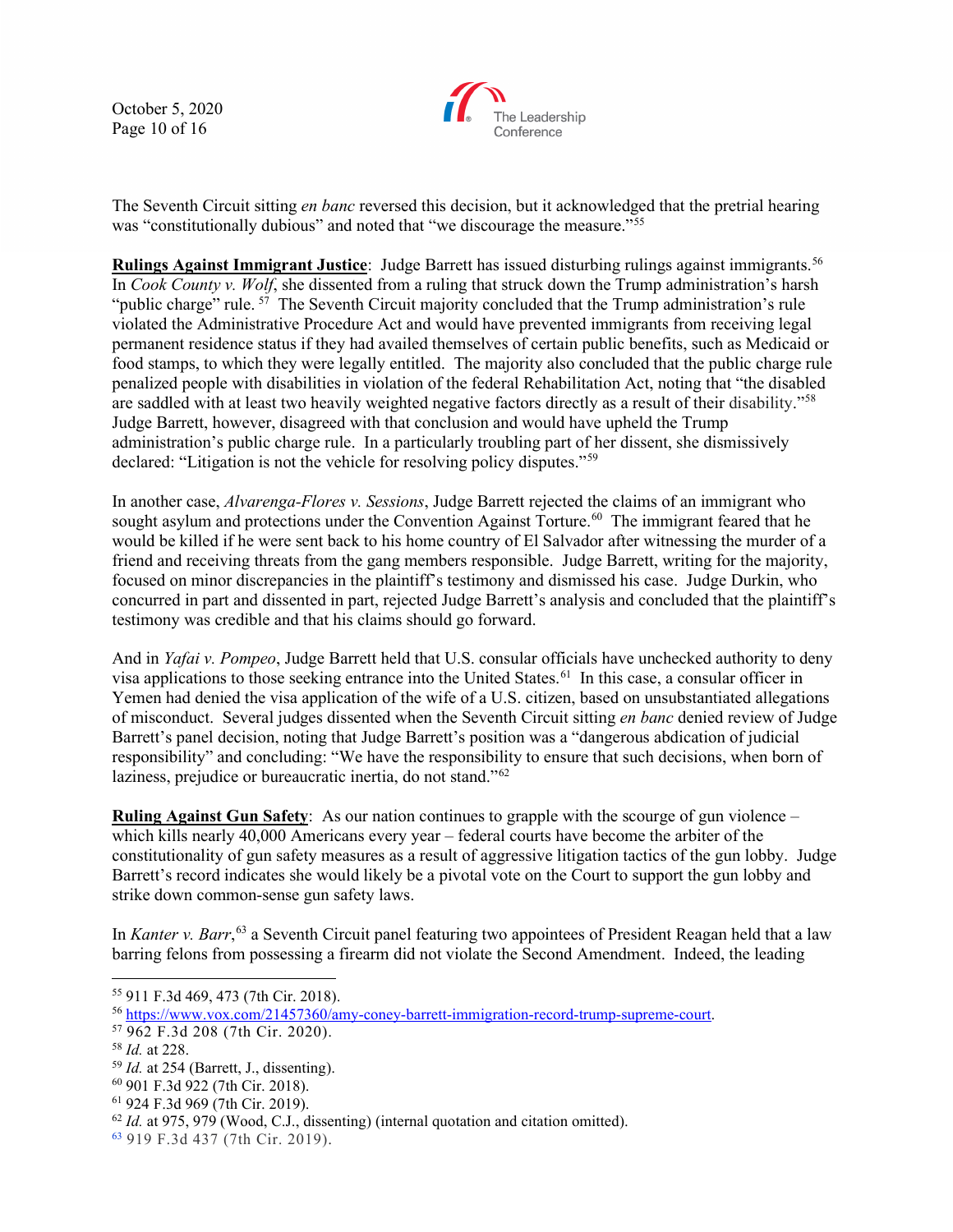October 5, 2020 Page 10 of 16



The Seventh Circuit sitting *en banc* reversed this decision, but it acknowledged that the pretrial hearing was "constitutionally dubious" and noted that "we discourage the measure."<sup>[55](#page-9-0)</sup>

**Rulings Against Immigrant Justice**: Judge Barrett has issued disturbing rulings against immigrants.<sup>56</sup> In *Cook County v. Wolf*, she dissented from a ruling that struck down the Trump administration's harsh "public charge" rule.  $57$  The Seventh Circuit majority concluded that the Trump administration's rule violated the Administrative Procedure Act and would have prevented immigrants from receiving legal permanent residence status if they had availed themselves of certain public benefits, such as Medicaid or food stamps, to which they were legally entitled. The majority also concluded that the public charge rule penalized people with disabilities in violation of the federal Rehabilitation Act, noting that "the disabled are saddled with at least two heavily weighted negative factors directly as a result of their disability.["58](#page-9-3) Judge Barrett, however, disagreed with that conclusion and would have upheld the Trump administration's public charge rule. In a particularly troubling part of her dissent, she dismissively declared: "Litigation is not the vehicle for resolving policy disputes."[59](#page-9-4)

In another case, *Alvarenga-Flores v. Sessions*, Judge Barrett rejected the claims of an immigrant who sought asylum and protections under the Convention Against Torture.<sup>[60](#page-9-5)</sup> The immigrant feared that he would be killed if he were sent back to his home country of El Salvador after witnessing the murder of a friend and receiving threats from the gang members responsible. Judge Barrett, writing for the majority, focused on minor discrepancies in the plaintiff's testimony and dismissed his case. Judge Durkin, who concurred in part and dissented in part, rejected Judge Barrett's analysis and concluded that the plaintiff's testimony was credible and that his claims should go forward.

And in *Yafai v. Pompeo*, Judge Barrett held that U.S. consular officials have unchecked authority to deny visa applications to those seeking entrance into the United States.<sup>[61](#page-9-6)</sup> In this case, a consular officer in Yemen had denied the visa application of the wife of a U.S. citizen, based on unsubstantiated allegations of misconduct. Several judges dissented when the Seventh Circuit sitting *en banc* denied review of Judge Barrett's panel decision, noting that Judge Barrett's position was a "dangerous abdication of judicial responsibility" and concluding: "We have the responsibility to ensure that such decisions, when born of laziness, prejudice or bureaucratic inertia, do not stand."<sup>[62](#page-9-7)</sup>

**Ruling Against Gun Safety**: As our nation continues to grapple with the scourge of gun violence – which kills nearly 40,000 Americans every year – federal courts have become the arbiter of the constitutionality of gun safety measures as a result of aggressive litigation tactics of the gun lobby. Judge Barrett's record indicates she would likely be a pivotal vote on the Court to support the gun lobby and strike down common-sense gun safety laws.

In *Kanter v. Barr*, [63](#page-9-8) a Seventh Circuit panel featuring two appointees of President Reagan held that a law barring felons from possessing a firearm did not violate the Second Amendment. Indeed, the leading

<span id="page-9-0"></span><sup>55</sup> 911 F.3d 469, 473 (7th Cir. 2018).

<span id="page-9-1"></span><sup>&</sup>lt;sup>56</sup> [https://www.vox.com/21457360/amy-coney-barrett-immigration-record-trump-supreme-court.](https://www.vox.com/21457360/amy-coney-barrett-immigration-record-trump-supreme-court)<br><sup>57</sup> 962 F.3d 208 (7th Cir. 2020).

<span id="page-9-2"></span>

<span id="page-9-3"></span><sup>58</sup> *Id.* at 228.

<span id="page-9-4"></span><sup>59</sup> *Id.* at 254 (Barrett, J., dissenting).

<span id="page-9-5"></span><sup>60</sup> 901 F.3d 922 (7th Cir. 2018).

<span id="page-9-6"></span><sup>61</sup> 924 F.3d 969 (7th Cir. 2019).

<span id="page-9-7"></span> $62$  *Id.* at 975, 979 (Wood, C.J., dissenting) (internal quotation and citation omitted).

<span id="page-9-8"></span><sup>63</sup> 919 F.3d 437 (7th Cir. 2019).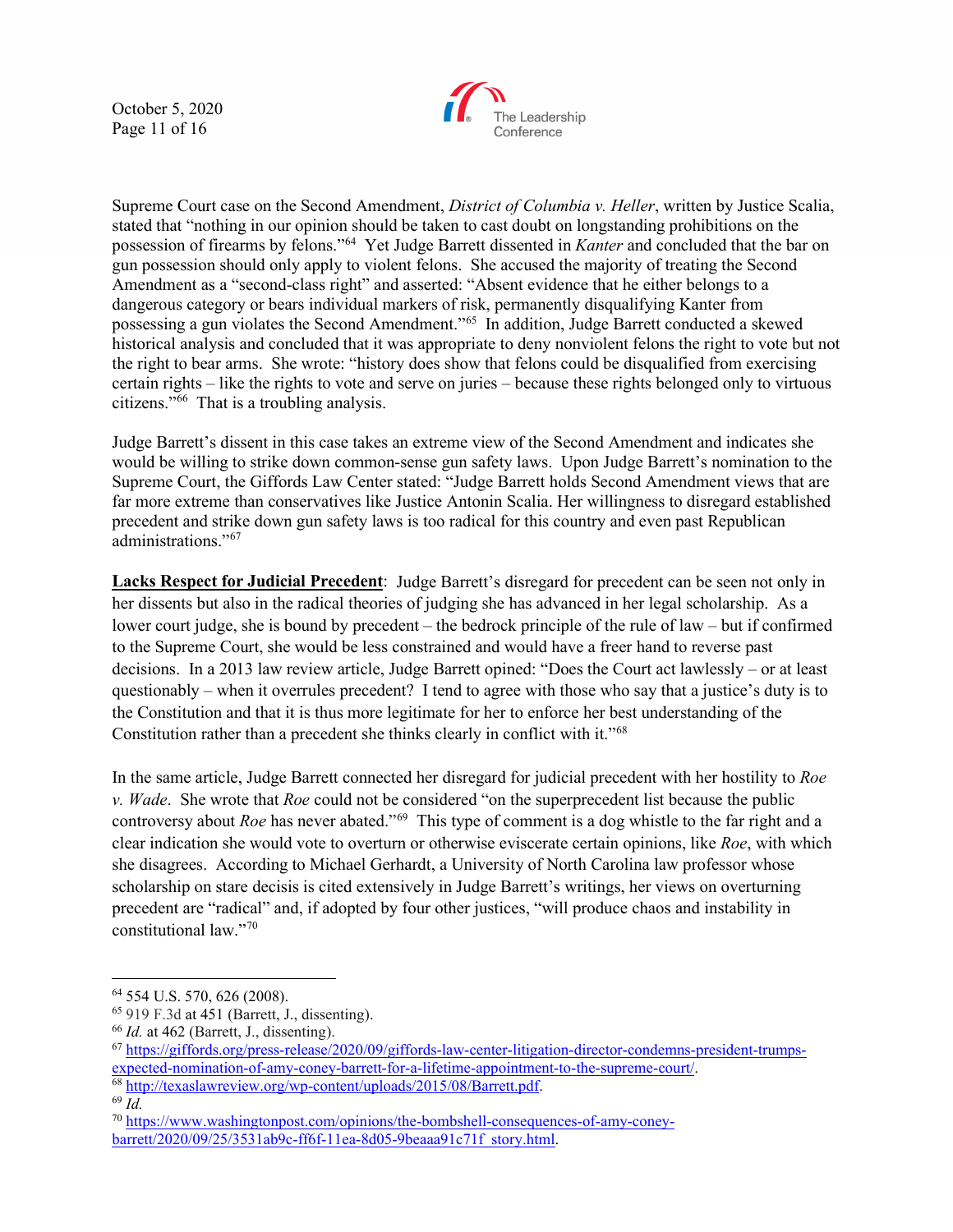October 5, 2020 Page 11 of 16



Supreme Court case on the Second Amendment, *District of Columbia v. Heller*, written by Justice Scalia, stated that "nothing in our opinion should be taken to cast doubt on longstanding prohibitions on the possession of firearms by felons."[64](#page-10-0) Yet Judge Barrett dissented in *Kanter* and concluded that the bar on gun possession should only apply to violent felons. She accused the majority of treating the Second Amendment as a "second-class right" and asserted: "Absent evidence that he either belongs to a dangerous category or bears individual markers of risk, permanently disqualifying Kanter from possessing a gun violates the Second Amendment."[65](#page-10-1) In addition, Judge Barrett conducted a skewed historical analysis and concluded that it was appropriate to deny nonviolent felons the right to vote but not the right to bear arms. She wrote: "history does show that felons could be disqualified from exercising certain rights – like the rights to vote and serve on juries – because these rights belonged only to virtuous citizens."[66](#page-10-2) That is a troubling analysis.

Judge Barrett's dissent in this case takes an extreme view of the Second Amendment and indicates she would be willing to strike down common-sense gun safety laws. Upon Judge Barrett's nomination to the Supreme Court, the Giffords Law Center stated: "Judge Barrett holds Second Amendment views that are far more extreme than conservatives like Justice Antonin Scalia. Her willingness to disregard established precedent and strike down gun safety laws is too radical for this country and even past Republican administrations."<sup>[67](#page-10-3)</sup>

**Lacks Respect for Judicial Precedent**: Judge Barrett's disregard for precedent can be seen not only in her dissents but also in the radical theories of judging she has advanced in her legal scholarship. As a lower court judge, she is bound by precedent – the bedrock principle of the rule of law – but if confirmed to the Supreme Court, she would be less constrained and would have a freer hand to reverse past decisions. In a 2013 law review article, Judge Barrett opined: "Does the Court act lawlessly – or at least questionably – when it overrules precedent? I tend to agree with those who say that a justice's duty is to the Constitution and that it is thus more legitimate for her to enforce her best understanding of the Constitution rather than a precedent she thinks clearly in conflict with it."[68](#page-10-4)

In the same article, Judge Barrett connected her disregard for judicial precedent with her hostility to *Roe v. Wade*. She wrote that *Roe* could not be considered "on the superprecedent list because the public controversy about *Roe* has never abated."<sup>[69](#page-10-5)</sup> This type of comment is a dog whistle to the far right and a clear indication she would vote to overturn or otherwise eviscerate certain opinions, like *Roe*, with which she disagrees. According to Michael Gerhardt, a University of North Carolina law professor whose scholarship on stare decisis is cited extensively in Judge Barrett's writings, her views on overturning precedent are "radical" and, if adopted by four other justices, "will produce chaos and instability in constitutional law."[70](#page-10-6)

<span id="page-10-0"></span><sup>64</sup> 554 U.S. 570, 626 (2008).

<span id="page-10-1"></span><sup>65</sup> 919 F.3d at 451 (Barrett, J., dissenting).

<span id="page-10-2"></span><sup>66</sup> *Id.* at 462 (Barrett, J., dissenting).

<span id="page-10-3"></span><sup>67</sup> [https://giffords.org/press-release/2020/09/giffords-law-center-litigation-director-condemns-president-trumps](https://giffords.org/press-release/2020/09/giffords-law-center-litigation-director-condemns-president-trumps-expected-nomination-of-amy-coney-barrett-for-a-lifetime-appointment-to-the-supreme-court/)[expected-nomination-of-amy-coney-barrett-for-a-lifetime-appointment-to-the-supreme-court/.](https://giffords.org/press-release/2020/09/giffords-law-center-litigation-director-condemns-president-trumps-expected-nomination-of-amy-coney-barrett-for-a-lifetime-appointment-to-the-supreme-court/) 68 [http://texaslawreview.org/wp-content/uploads/2015/08/Barrett.pdf.](http://texaslawreview.org/wp-content/uploads/2015/08/Barrett.pdf) 69 *Id.*

<span id="page-10-4"></span>

<span id="page-10-5"></span>

<span id="page-10-6"></span><sup>70</sup> [https://www.washingtonpost.com/opinions/the-bombshell-consequences-of-amy-coney](https://www.washingtonpost.com/opinions/the-bombshell-consequences-of-amy-coney-barrett/2020/09/25/3531ab9c-ff6f-11ea-8d05-9beaaa91c71f_story.html)[barrett/2020/09/25/3531ab9c-ff6f-11ea-8d05-9beaaa91c71f\\_story.html.](https://www.washingtonpost.com/opinions/the-bombshell-consequences-of-amy-coney-barrett/2020/09/25/3531ab9c-ff6f-11ea-8d05-9beaaa91c71f_story.html)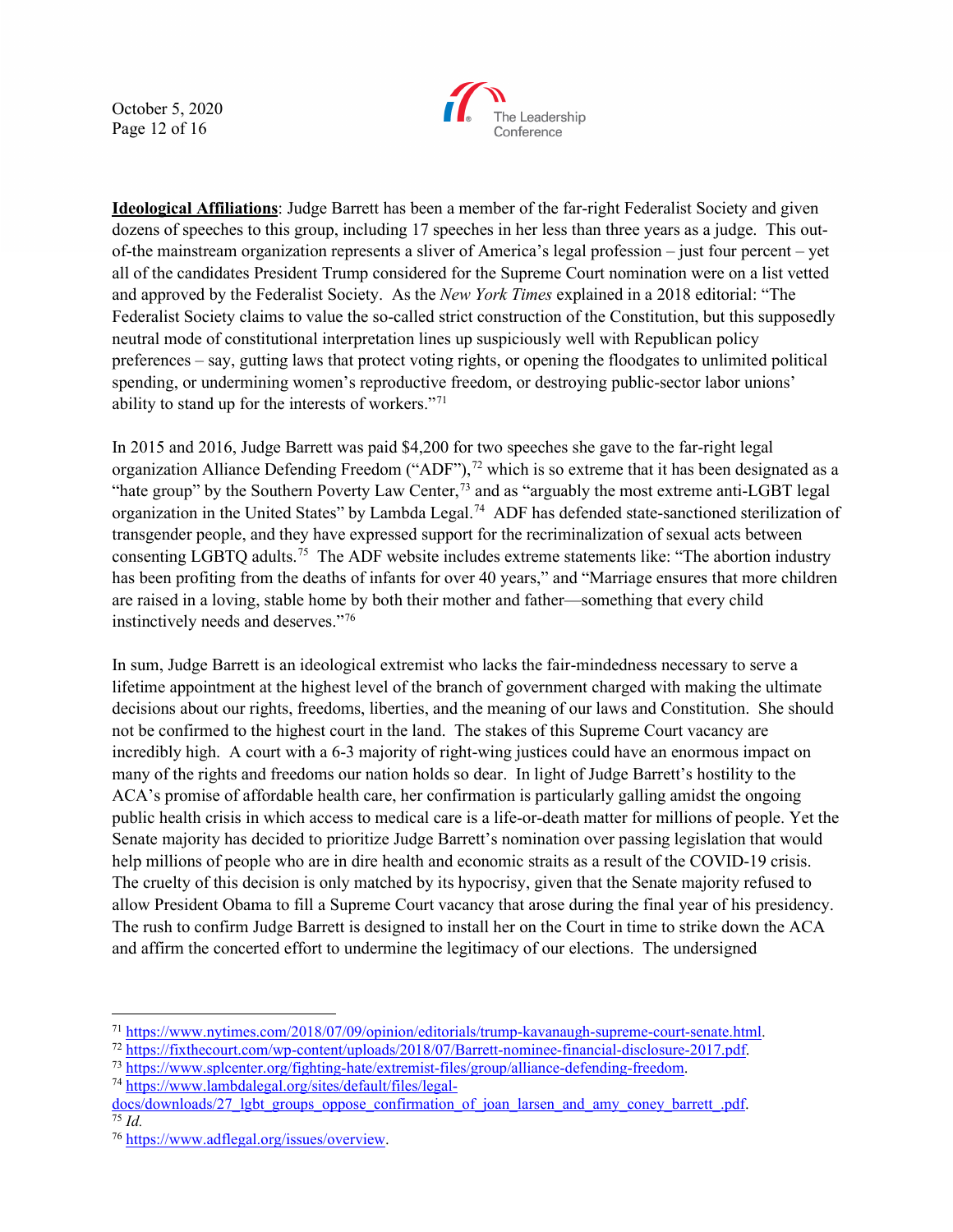October 5, 2020 Page 12 of 16



**Ideological Affiliations**: Judge Barrett has been a member of the far-right Federalist Society and given dozens of speeches to this group, including 17 speeches in her less than three years as a judge. This outof-the mainstream organization represents a sliver of America's legal profession – just four percent – yet all of the candidates President Trump considered for the Supreme Court nomination were on a list vetted and approved by the Federalist Society. As the *New York Times* explained in a 2018 editorial: "The Federalist Society claims to value the so-called strict construction of the Constitution, but this supposedly neutral mode of constitutional interpretation lines up suspiciously well with Republican policy preferences – say, gutting laws that protect voting rights, or opening the floodgates to unlimited political spending, or undermining women's reproductive freedom, or destroying public-sector labor unions' ability to stand up for the interests of workers."[71](#page-11-0)

In 2015 and 2016, Judge Barrett was paid \$4,200 for two speeches she gave to the far-right legal organization Alliance Defending Freedom ("ADF"),<sup>[72](#page-11-1)</sup> which is so extreme that it has been designated as a "hate group" by the Southern Poverty Law Center,<sup>[73](#page-11-2)</sup> and as "arguably the most extreme anti-LGBT legal organization in the United States" by Lambda Legal.[74](#page-11-3) ADF has defended state-sanctioned sterilization of transgender people, and they have expressed support for the recriminalization of sexual acts between consenting LGBTQ adults.[75](#page-11-4) The ADF website includes extreme statements like: "The abortion industry has been profiting from the deaths of infants for over 40 years," and "Marriage ensures that more children are raised in a loving, stable home by both their mother and father—something that every child instinctively needs and deserves."[76](#page-11-5)

In sum, Judge Barrett is an ideological extremist who lacks the fair-mindedness necessary to serve a lifetime appointment at the highest level of the branch of government charged with making the ultimate decisions about our rights, freedoms, liberties, and the meaning of our laws and Constitution. She should not be confirmed to the highest court in the land. The stakes of this Supreme Court vacancy are incredibly high. A court with a 6-3 majority of right-wing justices could have an enormous impact on many of the rights and freedoms our nation holds so dear. In light of Judge Barrett's hostility to the ACA's promise of affordable health care, her confirmation is particularly galling amidst the ongoing public health crisis in which access to medical care is a life-or-death matter for millions of people. Yet the Senate majority has decided to prioritize Judge Barrett's nomination over passing legislation that would help millions of people who are in dire health and economic straits as a result of the COVID-19 crisis. The cruelty of this decision is only matched by its hypocrisy, given that the Senate majority refused to allow President Obama to fill a Supreme Court vacancy that arose during the final year of his presidency. The rush to confirm Judge Barrett is designed to install her on the Court in time to strike down the ACA and affirm the concerted effort to undermine the legitimacy of our elections. The undersigned

<span id="page-11-3"></span>

<span id="page-11-1"></span><span id="page-11-0"></span> $\frac{\frac{71 \text{ https://www.nytimes.com/2018/07/09/opinion/editorials/trump-kavanaugh-supreme-court-senate.html}}{\text{https://fixthecourt.com/wp-cotten/uploads/2018/07/Barrett-nominee-financial-disclosure-2017.pdf}}}{\frac{\text{https://fixthecourt.com/wp-content/uploads/2018/07/Barrett-nominee-financial-disclosure-2017.pdf}}{\text{https://www.spleenter.org/fighting-hate/extremist-files/group/alliance-defending-freedom}}}.$  $\frac{\frac{71 \text{ https://www.nytimes.com/2018/07/09/opinion/editorials/trump-kavanaugh-supreme-court-senate.html}}{\text{https://fixthecourt.com/wp-cotten/uploads/2018/07/Barrett-nominee-financial-disclosure-2017.pdf}}}{\frac{\text{https://fixthecourt.com/wp-content/uploads/2018/07/Barrett-nominee-financial-disclosure-2017.pdf}}{\text{https://www.spleenter.org/fighting-hate/extremist-files/group/alliance-defending-freedom}}}.$  $\frac{\frac{71 \text{ https://www.nytimes.com/2018/07/09/opinion/editorials/trump-kavanaugh-supreme-court-senate.html}}{\text{https://fixthecourt.com/wp-cotten/uploads/2018/07/Barrett-nominee-financial-disclosure-2017.pdf}}}{\frac{\text{https://fixthecourt.com/wp-content/uploads/2018/07/Barrett-nominee-financial-disclosure-2017.pdf}}{\text{https://www.spleenter.org/fighting-hate/extremist-files/group/alliance-defending-freedom}}}.$ 

<span id="page-11-2"></span>

<span id="page-11-4"></span>[docs/downloads/27\\_lgbt\\_groups\\_oppose\\_confirmation\\_of\\_joan\\_larsen\\_and\\_amy\\_coney\\_barrett\\_.pdf.](https://www.lambdalegal.org/sites/default/files/legal-docs/downloads/27_lgbt_groups_oppose_confirmation_of_joan_larsen_and_amy_coney_barrett_.pdf) 75 *Id.*

<span id="page-11-5"></span><sup>76</sup> [https://www.adflegal.org/issues/overview.](https://www.adflegal.org/issues/overview)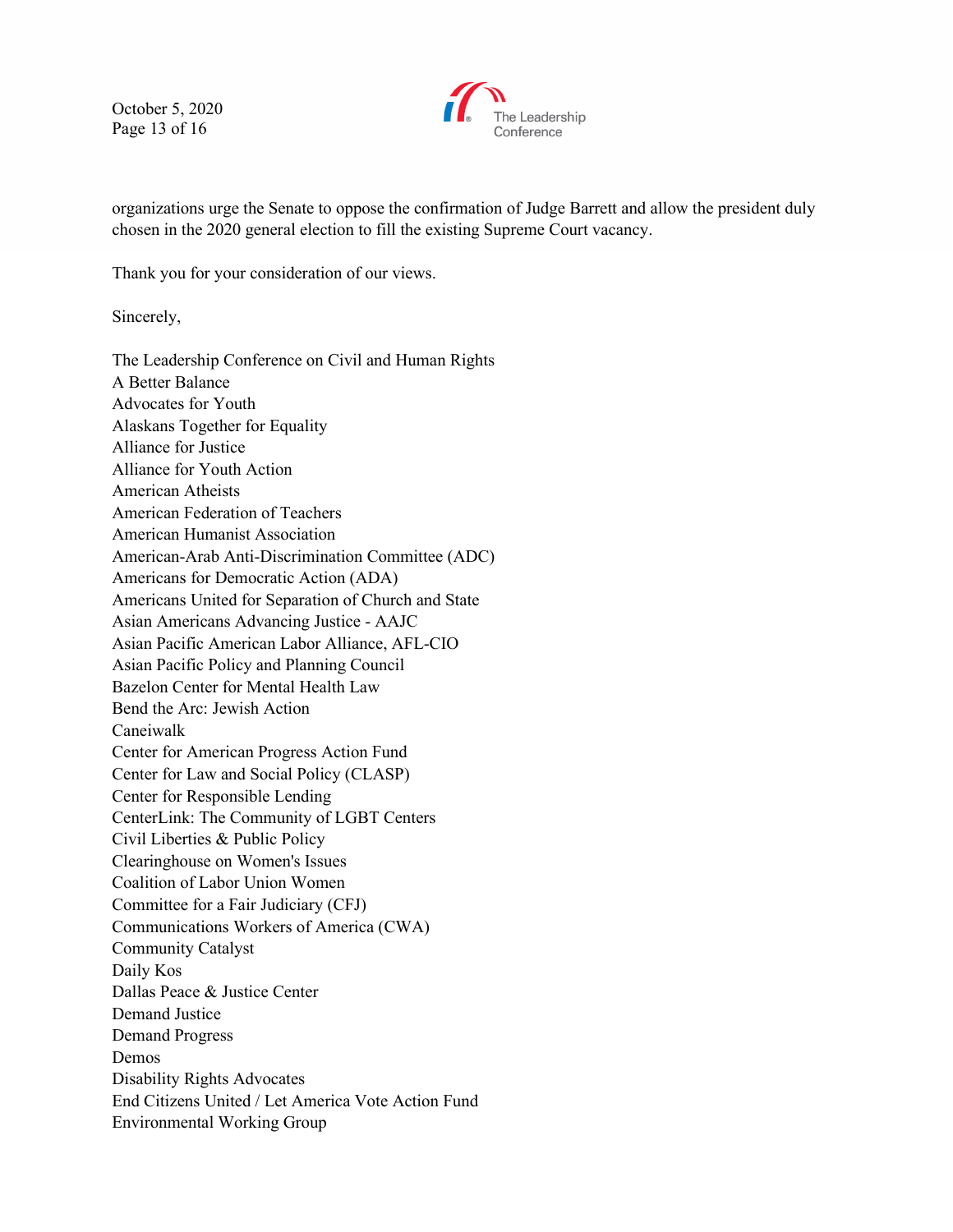October 5, 2020 Page 13 of 16



organizations urge the Senate to oppose the confirmation of Judge Barrett and allow the president duly chosen in the 2020 general election to fill the existing Supreme Court vacancy.

Thank you for your consideration of our views.

Sincerely,

The Leadership Conference on Civil and Human Rights A Better Balance Advocates for Youth Alaskans Together for Equality Alliance for Justice Alliance for Youth Action American Atheists American Federation of Teachers American Humanist Association American-Arab Anti-Discrimination Committee (ADC) Americans for Democratic Action (ADA) Americans United for Separation of Church and State Asian Americans Advancing Justice - AAJC Asian Pacific American Labor Alliance, AFL-CIO Asian Pacific Policy and Planning Council Bazelon Center for Mental Health Law Bend the Arc: Jewish Action Caneiwalk Center for American Progress Action Fund Center for Law and Social Policy (CLASP) Center for Responsible Lending CenterLink: The Community of LGBT Centers Civil Liberties & Public Policy Clearinghouse on Women's Issues Coalition of Labor Union Women Committee for a Fair Judiciary (CFJ) Communications Workers of America (CWA) Community Catalyst Daily Kos Dallas Peace & Justice Center Demand Justice Demand Progress Demos Disability Rights Advocates End Citizens United / Let America Vote Action Fund Environmental Working Group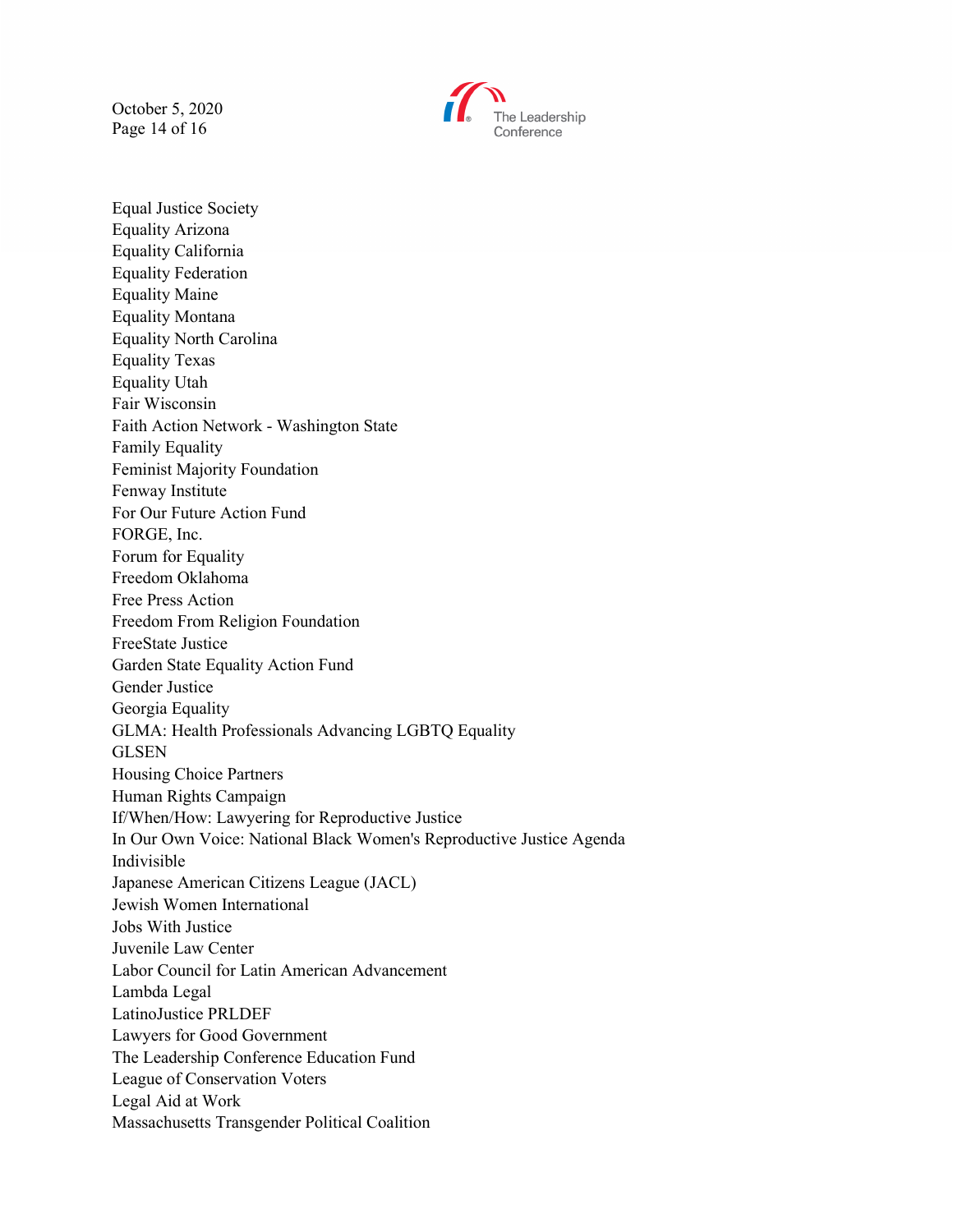October 5, 2020 Page 14 of 16



Equal Justice Society Equality Arizona Equality California Equality Federation Equality Maine Equality Montana Equality North Carolina Equality Texas Equality Utah Fair Wisconsin Faith Action Network - Washington State Family Equality Feminist Majority Foundation Fenway Institute For Our Future Action Fund FORGE, Inc. Forum for Equality Freedom Oklahoma Free Press Action Freedom From Religion Foundation FreeState Justice Garden State Equality Action Fund Gender Justice Georgia Equality GLMA: Health Professionals Advancing LGBTQ Equality GLSEN Housing Choice Partners Human Rights Campaign If/When/How: Lawyering for Reproductive Justice In Our Own Voice: National Black Women's Reproductive Justice Agenda Indivisible Japanese American Citizens League (JACL) Jewish Women International Jobs With Justice Juvenile Law Center Labor Council for Latin American Advancement Lambda Legal LatinoJustice PRLDEF Lawyers for Good Government The Leadership Conference Education Fund League of Conservation Voters Legal Aid at Work Massachusetts Transgender Political Coalition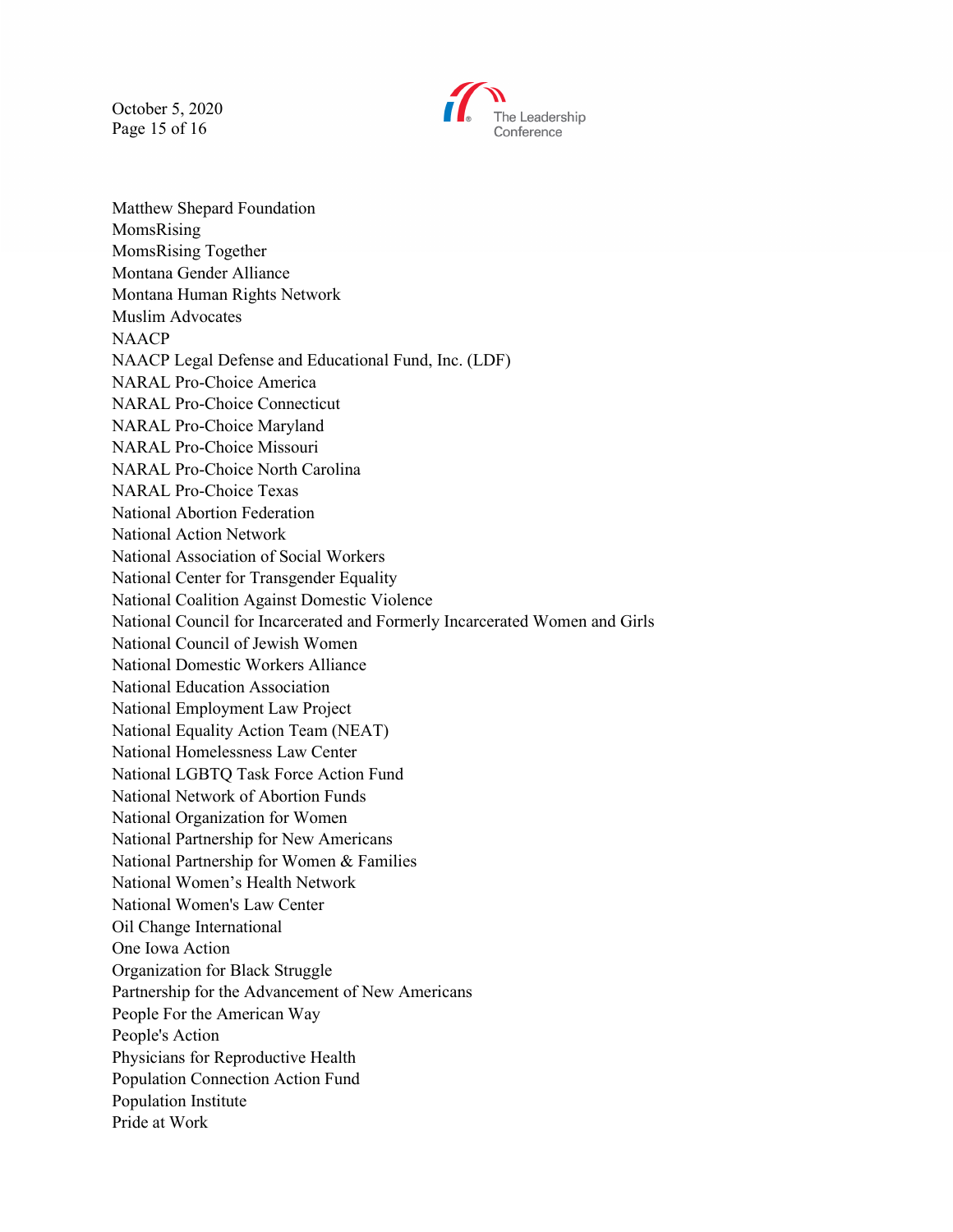October 5, 2020 Page 15 of 16



Matthew Shepard Foundation MomsRising MomsRising Together Montana Gender Alliance Montana Human Rights Network Muslim Advocates **NAACP** NAACP Legal Defense and Educational Fund, Inc. (LDF) NARAL Pro-Choice America NARAL Pro-Choice Connecticut NARAL Pro-Choice Maryland NARAL Pro-Choice Missouri NARAL Pro-Choice North Carolina NARAL Pro-Choice Texas National Abortion Federation National Action Network National Association of Social Workers National Center for Transgender Equality National Coalition Against Domestic Violence National Council for Incarcerated and Formerly Incarcerated Women and Girls National Council of Jewish Women National Domestic Workers Alliance National Education Association National Employment Law Project National Equality Action Team (NEAT) National Homelessness Law Center National LGBTQ Task Force Action Fund National Network of Abortion Funds National Organization for Women National Partnership for New Americans National Partnership for Women & Families National Women's Health Network National Women's Law Center Oil Change International One Iowa Action Organization for Black Struggle Partnership for the Advancement of New Americans People For the American Way People's Action Physicians for Reproductive Health Population Connection Action Fund Population Institute Pride at Work